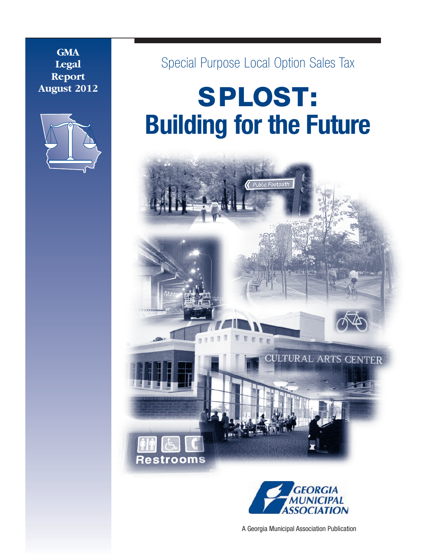**GMA Legal Report August 2012**



Special Purpose Local Option Sales Tax

# **SPLOST: Building for the Future**





A Georgia Municipal Association Publication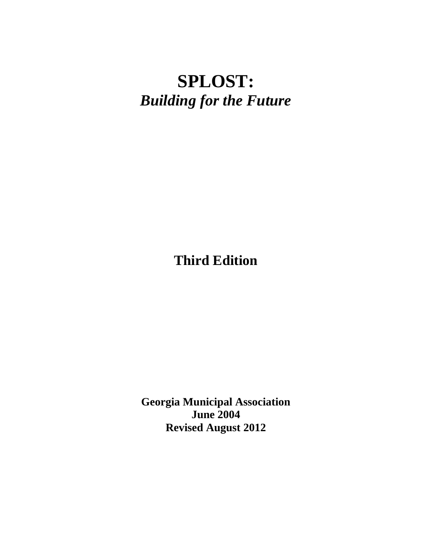# **SPLOST:** *Building for the Future*

**Third Edition**

**Georgia Municipal Association June 2004 Revised August 2012**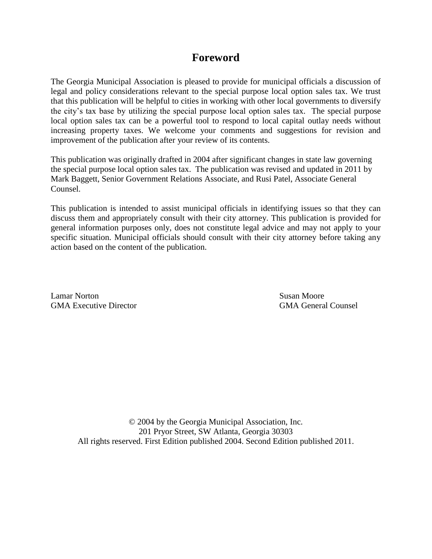# **Foreword**

The Georgia Municipal Association is pleased to provide for municipal officials a discussion of legal and policy considerations relevant to the special purpose local option sales tax. We trust that this publication will be helpful to cities in working with other local governments to diversify the city's tax base by utilizing the special purpose local option sales tax. The special purpose local option sales tax can be a powerful tool to respond to local capital outlay needs without increasing property taxes. We welcome your comments and suggestions for revision and improvement of the publication after your review of its contents.

This publication was originally drafted in 2004 after significant changes in state law governing the special purpose local option sales tax. The publication was revised and updated in 2011 by Mark Baggett, Senior Government Relations Associate, and Rusi Patel, Associate General Counsel.

This publication is intended to assist municipal officials in identifying issues so that they can discuss them and appropriately consult with their city attorney. This publication is provided for general information purposes only, does not constitute legal advice and may not apply to your specific situation. Municipal officials should consult with their city attorney before taking any action based on the content of the publication.

Lamar Norton Susan Moore GMA Executive Director GMA General Counsel

© 2004 by the Georgia Municipal Association, Inc. 201 Pryor Street, SW Atlanta, Georgia 30303 All rights reserved. First Edition published 2004. Second Edition published 2011.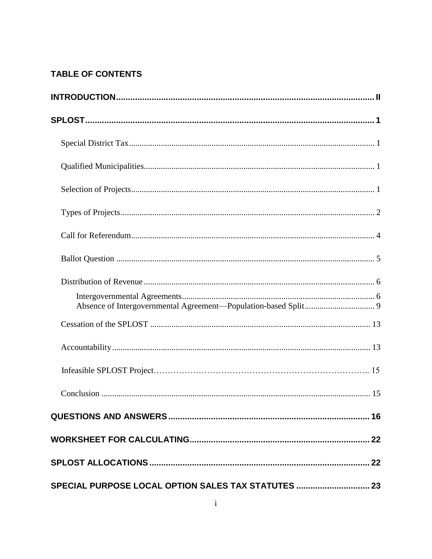# **TABLE OF CONTENTS**

| SPECIAL PURPOSE LOCAL OPTION SALES TAX STATUTES  23 |  |
|-----------------------------------------------------|--|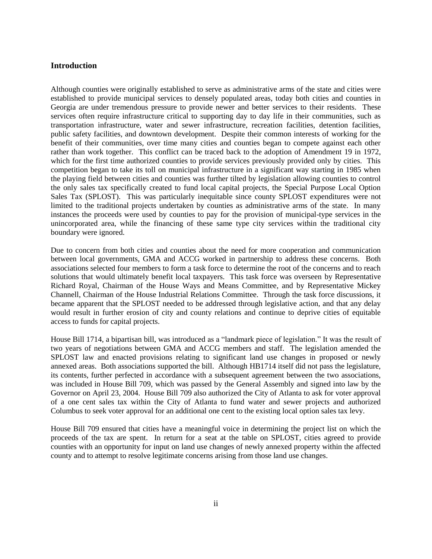#### **Introduction**

Although counties were originally established to serve as administrative arms of the state and cities were established to provide municipal services to densely populated areas, today both cities and counties in Georgia are under tremendous pressure to provide newer and better services to their residents. These services often require infrastructure critical to supporting day to day life in their communities, such as transportation infrastructure, water and sewer infrastructure, recreation facilities, detention facilities, public safety facilities, and downtown development. Despite their common interests of working for the benefit of their communities, over time many cities and counties began to compete against each other rather than work together. This conflict can be traced back to the adoption of Amendment 19 in 1972, which for the first time authorized counties to provide services previously provided only by cities. This competition began to take its toll on municipal infrastructure in a significant way starting in 1985 when the playing field between cities and counties was further tilted by legislation allowing counties to control the only sales tax specifically created to fund local capital projects, the Special Purpose Local Option Sales Tax (SPLOST). This was particularly inequitable since county SPLOST expenditures were not limited to the traditional projects undertaken by counties as administrative arms of the state. In many instances the proceeds were used by counties to pay for the provision of municipal-type services in the unincorporated area, while the financing of these same type city services within the traditional city boundary were ignored.

Due to concern from both cities and counties about the need for more cooperation and communication between local governments, GMA and ACCG worked in partnership to address these concerns. Both associations selected four members to form a task force to determine the root of the concerns and to reach solutions that would ultimately benefit local taxpayers. This task force was overseen by Representative Richard Royal, Chairman of the House Ways and Means Committee, and by Representative Mickey Channell, Chairman of the House Industrial Relations Committee. Through the task force discussions, it became apparent that the SPLOST needed to be addressed through legislative action, and that any delay would result in further erosion of city and county relations and continue to deprive cities of equitable access to funds for capital projects.

House Bill 1714, a bipartisan bill, was introduced as a "landmark piece of legislation." It was the result of two years of negotiations between GMA and ACCG members and staff. The legislation amended the SPLOST law and enacted provisions relating to significant land use changes in proposed or newly annexed areas. Both associations supported the bill. Although HB1714 itself did not pass the legislature, its contents, further perfected in accordance with a subsequent agreement between the two associations, was included in House Bill 709, which was passed by the General Assembly and signed into law by the Governor on April 23, 2004. House Bill 709 also authorized the City of Atlanta to ask for voter approval of a one cent sales tax within the City of Atlanta to fund water and sewer projects and authorized Columbus to seek voter approval for an additional one cent to the existing local option sales tax levy.

House Bill 709 ensured that cities have a meaningful voice in determining the project list on which the proceeds of the tax are spent. In return for a seat at the table on SPLOST, cities agreed to provide counties with an opportunity for input on land use changes of newly annexed property within the affected county and to attempt to resolve legitimate concerns arising from those land use changes.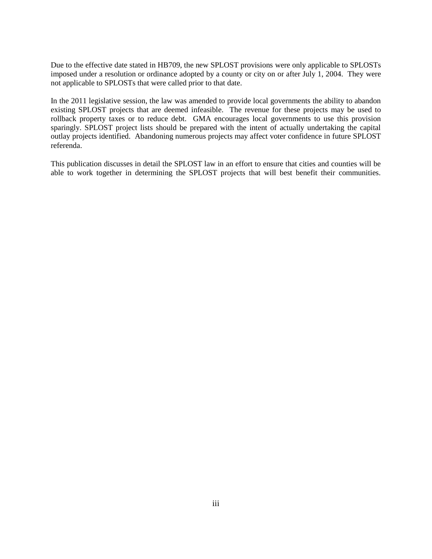Due to the effective date stated in HB709, the new SPLOST provisions were only applicable to SPLOSTs imposed under a resolution or ordinance adopted by a county or city on or after July 1, 2004. They were not applicable to SPLOSTs that were called prior to that date.

In the 2011 legislative session, the law was amended to provide local governments the ability to abandon existing SPLOST projects that are deemed infeasible. The revenue for these projects may be used to rollback property taxes or to reduce debt. GMA encourages local governments to use this provision sparingly. SPLOST project lists should be prepared with the intent of actually undertaking the capital outlay projects identified. Abandoning numerous projects may affect voter confidence in future SPLOST referenda.

This publication discusses in detail the SPLOST law in an effort to ensure that cities and counties will be able to work together in determining the SPLOST projects that will best benefit their communities.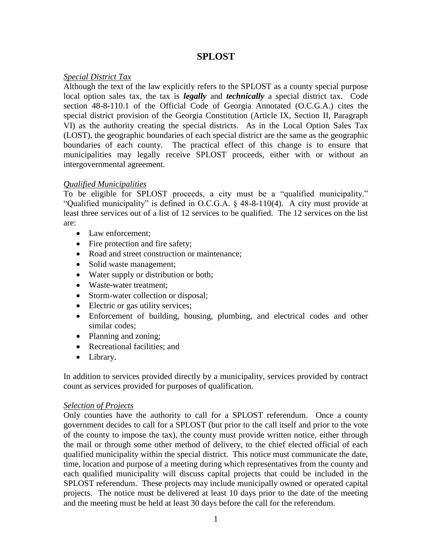# **SPLOST**

#### *Special District Tax*

Although the text of the law explicitly refers to the SPLOST as a county special purpose local option sales tax, the tax is *legally* and *technically* a special district tax. Code section 48-8-110.1 of the Official Code of Georgia Annotated (O.C.G.A.) cites the special district provision of the Georgia Constitution (Article IX, Section II, Paragraph VI) as the authority creating the special districts. As in the Local Option Sales Tax (LOST), the geographic boundaries of each special district are the same as the geographic boundaries of each county. The practical effect of this change is to ensure that municipalities may legally receive SPLOST proceeds, either with or without an intergovernmental agreement.

#### *Qualified Municipalities*

To be eligible for SPLOST proceeds, a city must be a "qualified municipality." "Qualified municipality" is defined in O.C.G.A. § 48-8-110(4). A city must provide at least three services out of a list of 12 services to be qualified. The 12 services on the list are:

- Law enforcement;
- Fire protection and fire safety;
- Road and street construction or maintenance;
- Solid waste management;
- Water supply or distribution or both;
- Waste-water treatment;
- Storm-water collection or disposal;
- Electric or gas utility services;
- Enforcement of building, housing, plumbing, and electrical codes and other similar codes;
- Planning and zoning;
- Recreational facilities; and
- Library.

In addition to services provided directly by a municipality, services provided by contract count as services provided for purposes of qualification.

## *Selection of Projects*

Only counties have the authority to call for a SPLOST referendum. Once a county government decides to call for a SPLOST (but prior to the call itself and prior to the vote of the county to impose the tax), the county must provide written notice, either through the mail or through some other method of delivery, to the chief elected official of each qualified municipality within the special district. This notice must communicate the date, time, location and purpose of a meeting during which representatives from the county and each qualified municipality will discuss capital projects that could be included in the SPLOST referendum. These projects may include municipally owned or operated capital projects. The notice must be delivered at least 10 days prior to the date of the meeting and the meeting must be held at least 30 days before the call for the referendum.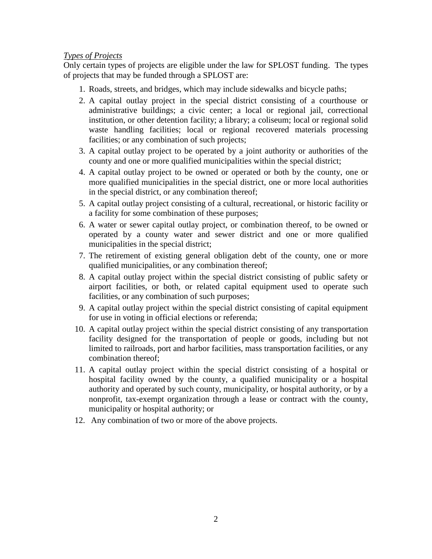#### *Types of Projects*

Only certain types of projects are eligible under the law for SPLOST funding. The types of projects that may be funded through a SPLOST are:

- 1. Roads, streets, and bridges, which may include sidewalks and bicycle paths;
- 2. A capital outlay project in the special district consisting of a courthouse or administrative buildings; a civic center; a local or regional jail, correctional institution, or other detention facility; a library; a coliseum; local or regional solid waste handling facilities; local or regional recovered materials processing facilities; or any combination of such projects;
- 3. A capital outlay project to be operated by a joint authority or authorities of the county and one or more qualified municipalities within the special district;
- 4. A capital outlay project to be owned or operated or both by the county, one or more qualified municipalities in the special district, one or more local authorities in the special district, or any combination thereof;
- 5. A capital outlay project consisting of a cultural, recreational, or historic facility or a facility for some combination of these purposes;
- 6. A water or sewer capital outlay project, or combination thereof, to be owned or operated by a county water and sewer district and one or more qualified municipalities in the special district;
- 7. The retirement of existing general obligation debt of the county, one or more qualified municipalities, or any combination thereof;
- 8. A capital outlay project within the special district consisting of public safety or airport facilities, or both, or related capital equipment used to operate such facilities, or any combination of such purposes;
- 9. A capital outlay project within the special district consisting of capital equipment for use in voting in official elections or referenda;
- 10. A capital outlay project within the special district consisting of any transportation facility designed for the transportation of people or goods, including but not limited to railroads, port and harbor facilities, mass transportation facilities, or any combination thereof;
- 11. A capital outlay project within the special district consisting of a hospital or hospital facility owned by the county, a qualified municipality or a hospital authority and operated by such county, municipality, or hospital authority, or by a nonprofit, tax-exempt organization through a lease or contract with the county, municipality or hospital authority; or
- 12. Any combination of two or more of the above projects.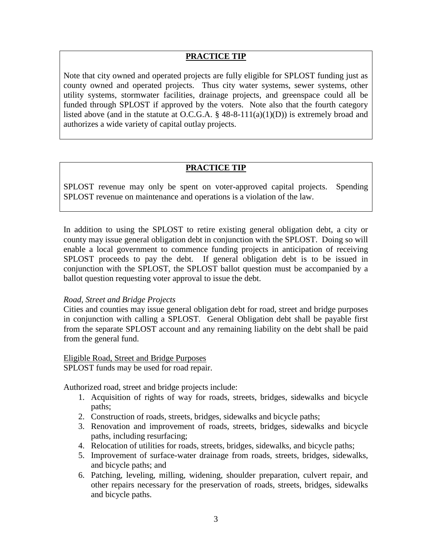#### **PRACTICE TIP**

Note that city owned and operated projects are fully eligible for SPLOST funding just as county owned and operated projects. Thus city water systems, sewer systems, other utility systems, stormwater facilities, drainage projects, and greenspace could all be funded through SPLOST if approved by the voters. Note also that the fourth category listed above (and in the statute at O.C.G.A.  $\S$  48-8-111(a)(1)(D)) is extremely broad and authorizes a wide variety of capital outlay projects.

#### **PRACTICE TIP**

SPLOST revenue may only be spent on voter-approved capital projects. Spending SPLOST revenue on maintenance and operations is a violation of the law.

In addition to using the SPLOST to retire existing general obligation debt, a city or county may issue general obligation debt in conjunction with the SPLOST. Doing so will enable a local government to commence funding projects in anticipation of receiving SPLOST proceeds to pay the debt. If general obligation debt is to be issued in conjunction with the SPLOST, the SPLOST ballot question must be accompanied by a ballot question requesting voter approval to issue the debt.

#### *Road, Street and Bridge Projects*

Cities and counties may issue general obligation debt for road, street and bridge purposes in conjunction with calling a SPLOST. General Obligation debt shall be payable first from the separate SPLOST account and any remaining liability on the debt shall be paid from the general fund.

#### Eligible Road, Street and Bridge Purposes

SPLOST funds may be used for road repair.

Authorized road, street and bridge projects include:

- 1. Acquisition of rights of way for roads, streets, bridges, sidewalks and bicycle paths;
- 2. Construction of roads, streets, bridges, sidewalks and bicycle paths;
- 3. Renovation and improvement of roads, streets, bridges, sidewalks and bicycle paths, including resurfacing;
- 4. Relocation of utilities for roads, streets, bridges, sidewalks, and bicycle paths;
- 5. Improvement of surface-water drainage from roads, streets, bridges, sidewalks, and bicycle paths; and
- 6. Patching, leveling, milling, widening, shoulder preparation, culvert repair, and other repairs necessary for the preservation of roads, streets, bridges, sidewalks and bicycle paths.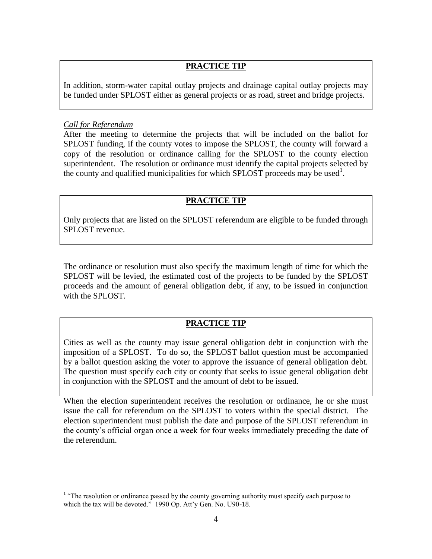# **PRACTICE TIP**

In addition, storm-water capital outlay projects and drainage capital outlay projects may be funded under SPLOST either as general projects or as road, street and bridge projects.

#### *Call for Referendum*

 $\overline{a}$ 

After the meeting to determine the projects that will be included on the ballot for SPLOST funding, if the county votes to impose the SPLOST, the county will forward a copy of the resolution or ordinance calling for the SPLOST to the county election superintendent. The resolution or ordinance must identify the capital projects selected by the county and qualified municipalities for which SPLOST proceeds may be used<sup>1</sup>.

# **PRACTICE TIP**

Only projects that are listed on the SPLOST referendum are eligible to be funded through SPLOST revenue.

The ordinance or resolution must also specify the maximum length of time for which the SPLOST will be levied, the estimated cost of the projects to be funded by the SPLOST proceeds and the amount of general obligation debt, if any, to be issued in conjunction with the SPLOST.

## **PRACTICE TIP**

Cities as well as the county may issue general obligation debt in conjunction with the imposition of a SPLOST. To do so, the SPLOST ballot question must be accompanied by a ballot question asking the voter to approve the issuance of general obligation debt. The question must specify each city or county that seeks to issue general obligation debt in conjunction with the SPLOST and the amount of debt to be issued.

When the election superintendent receives the resolution or ordinance, he or she must issue the call for referendum on the SPLOST to voters within the special district. The election superintendent must publish the date and purpose of the SPLOST referendum in the county's official organ once a week for four weeks immediately preceding the date of the referendum.

 $<sup>1</sup>$  "The resolution or ordinance passed by the county governing authority must specify each purpose to</sup> which the tax will be devoted." 1990 Op. Att'y Gen. No. U90-18.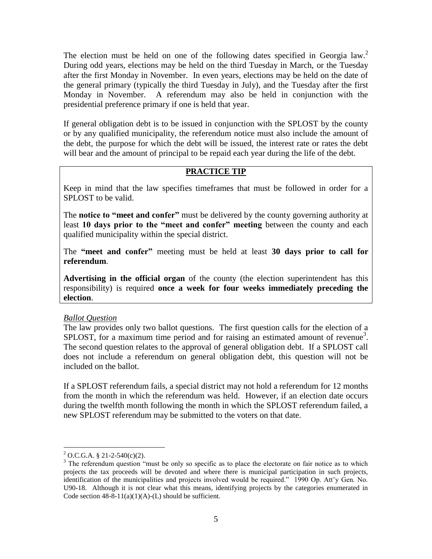The election must be held on one of the following dates specified in Georgia law.<sup>2</sup> During odd years, elections may be held on the third Tuesday in March, or the Tuesday after the first Monday in November. In even years, elections may be held on the date of the general primary (typically the third Tuesday in July), and the Tuesday after the first Monday in November. A referendum may also be held in conjunction with the presidential preference primary if one is held that year.

If general obligation debt is to be issued in conjunction with the SPLOST by the county or by any qualified municipality, the referendum notice must also include the amount of the debt, the purpose for which the debt will be issued, the interest rate or rates the debt will bear and the amount of principal to be repaid each year during the life of the debt.

#### **PRACTICE TIP**

Keep in mind that the law specifies timeframes that must be followed in order for a SPLOST to be valid.

The **notice to "meet and confer"** must be delivered by the county governing authority at least **10 days prior to the "meet and confer" meeting** between the county and each qualified municipality within the special district.

The **"meet and confer"** meeting must be held at least **30 days prior to call for referendum**.

**Advertising in the official organ** of the county (the election superintendent has this responsibility) is required **once a week for four weeks immediately preceding the election**.

#### *Ballot Question*

The law provides only two ballot questions. The first question calls for the election of a SPLOST, for a maximum time period and for raising an estimated amount of revenue<sup>3</sup>. The second question relates to the approval of general obligation debt. If a SPLOST call does not include a referendum on general obligation debt, this question will not be included on the ballot.

If a SPLOST referendum fails, a special district may not hold a referendum for 12 months from the month in which the referendum was held. However, if an election date occurs during the twelfth month following the month in which the SPLOST referendum failed, a new SPLOST referendum may be submitted to the voters on that date.

 $\overline{a}$ 

 $2$  O.C.G.A. § 21-2-540(c)(2).

 $3$  The referendum question "must be only so specific as to place the electorate on fair notice as to which projects the tax proceeds will be devoted and where there is municipal participation in such projects, identification of the municipalities and projects involved would be required." 1990 Op. Att'y Gen. No. U90-18. Although it is not clear what this means, identifying projects by the categories enumerated in Code section  $48-8-11(a)(1)(A)-(L)$  should be sufficient.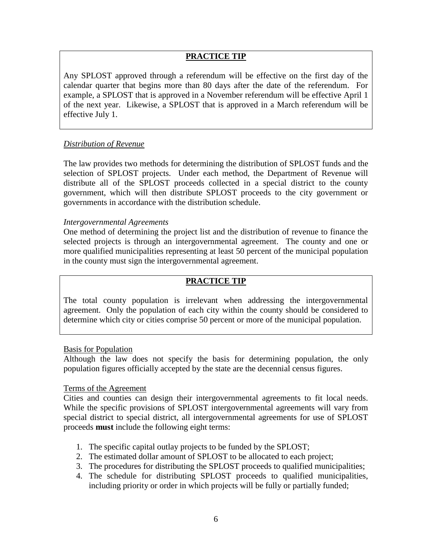## **PRACTICE TIP**

Any SPLOST approved through a referendum will be effective on the first day of the calendar quarter that begins more than 80 days after the date of the referendum. For example, a SPLOST that is approved in a November referendum will be effective April 1 of the next year. Likewise, a SPLOST that is approved in a March referendum will be effective July 1.

#### *Distribution of Revenue*

The law provides two methods for determining the distribution of SPLOST funds and the selection of SPLOST projects. Under each method, the Department of Revenue will distribute all of the SPLOST proceeds collected in a special district to the county government, which will then distribute SPLOST proceeds to the city government or governments in accordance with the distribution schedule.

#### *Intergovernmental Agreements*

One method of determining the project list and the distribution of revenue to finance the selected projects is through an intergovernmental agreement. The county and one or more qualified municipalities representing at least 50 percent of the municipal population in the county must sign the intergovernmental agreement.

## **PRACTICE TIP**

The total county population is irrelevant when addressing the intergovernmental agreement. Only the population of each city within the county should be considered to determine which city or cities comprise 50 percent or more of the municipal population.

#### Basis for Population

Although the law does not specify the basis for determining population, the only population figures officially accepted by the state are the decennial census figures.

#### Terms of the Agreement

Cities and counties can design their intergovernmental agreements to fit local needs. While the specific provisions of SPLOST intergovernmental agreements will vary from special district to special district, all intergovernmental agreements for use of SPLOST proceeds **must** include the following eight terms:

- 1. The specific capital outlay projects to be funded by the SPLOST;
- 2. The estimated dollar amount of SPLOST to be allocated to each project;
- 3. The procedures for distributing the SPLOST proceeds to qualified municipalities;
- 4. The schedule for distributing SPLOST proceeds to qualified municipalities, including priority or order in which projects will be fully or partially funded;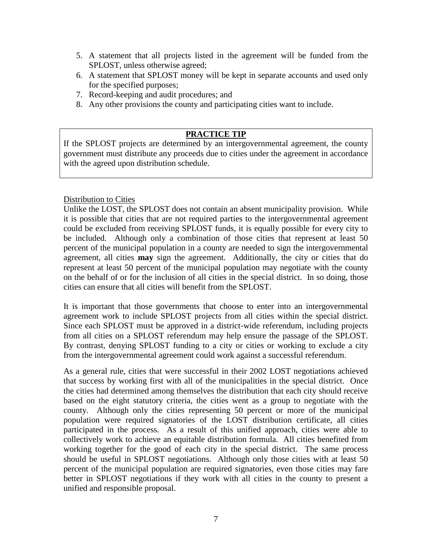- 5. A statement that all projects listed in the agreement will be funded from the SPLOST, unless otherwise agreed;
- 6. A statement that SPLOST money will be kept in separate accounts and used only for the specified purposes;
- 7. Record-keeping and audit procedures; and
- 8. Any other provisions the county and participating cities want to include.

#### **PRACTICE TIP**

If the SPLOST projects are determined by an intergovernmental agreement, the county government must distribute any proceeds due to cities under the agreement in accordance with the agreed upon distribution schedule.

#### Distribution to Cities

Unlike the LOST, the SPLOST does not contain an absent municipality provision. While it is possible that cities that are not required parties to the intergovernmental agreement could be excluded from receiving SPLOST funds, it is equally possible for every city to be included. Although only a combination of those cities that represent at least 50 percent of the municipal population in a county are needed to sign the intergovernmental agreement, all cities **may** sign the agreement. Additionally, the city or cities that do represent at least 50 percent of the municipal population may negotiate with the county on the behalf of or for the inclusion of all cities in the special district. In so doing, those cities can ensure that all cities will benefit from the SPLOST.

It is important that those governments that choose to enter into an intergovernmental agreement work to include SPLOST projects from all cities within the special district. Since each SPLOST must be approved in a district-wide referendum, including projects from all cities on a SPLOST referendum may help ensure the passage of the SPLOST. By contrast, denying SPLOST funding to a city or cities or working to exclude a city from the intergovernmental agreement could work against a successful referendum.

As a general rule, cities that were successful in their 2002 LOST negotiations achieved that success by working first with all of the municipalities in the special district. Once the cities had determined among themselves the distribution that each city should receive based on the eight statutory criteria, the cities went as a group to negotiate with the county. Although only the cities representing 50 percent or more of the municipal population were required signatories of the LOST distribution certificate, all cities participated in the process. As a result of this unified approach, cities were able to collectively work to achieve an equitable distribution formula. All cities benefited from working together for the good of each city in the special district. The same process should be useful in SPLOST negotiations. Although only those cities with at least 50 percent of the municipal population are required signatories, even those cities may fare better in SPLOST negotiations if they work with all cities in the county to present a unified and responsible proposal.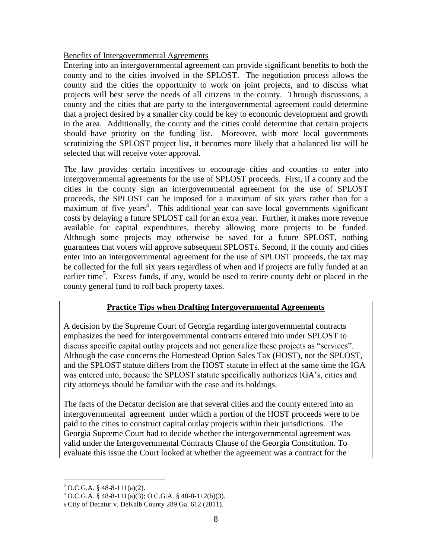#### Benefits of Intergovernmental Agreements

Entering into an intergovernmental agreement can provide significant benefits to both the county and to the cities involved in the SPLOST. The negotiation process allows the county and the cities the opportunity to work on joint projects, and to discuss what projects will best serve the needs of all citizens in the county. Through discussions, a county and the cities that are party to the intergovernmental agreement could determine that a project desired by a smaller city could be key to economic development and growth in the area. Additionally, the county and the cities could determine that certain projects should have priority on the funding list. Moreover, with more local governments scrutinizing the SPLOST project list, it becomes more likely that a balanced list will be selected that will receive voter approval.

The law provides certain incentives to encourage cities and counties to enter into intergovernmental agreements for the use of SPLOST proceeds. First, if a county and the cities in the county sign an intergovernmental agreement for the use of SPLOST proceeds, the SPLOST can be imposed for a maximum of six years rather than for a maximum of five years<sup>4</sup>. This additional year can save local governments significant costs by delaying a future SPLOST call for an extra year. Further, it makes more revenue available for capital expenditures, thereby allowing more projects to be funded. Although some projects may otherwise be saved for a future SPLOST, nothing guarantees that voters will approve subsequent SPLOSTs. Second, if the county and cities enter into an intergovernmental agreement for the use of SPLOST proceeds, the tax may be collected for the full six years regardless of when and if projects are fully funded at an earlier time<sup>5</sup>. Excess funds, if any, would be used to retire county debt or placed in the county general fund to roll back property taxes.

## **Practice Tips when Drafting Intergovernmental Agreements**

A decision by the Supreme Court of Georgia regarding intergovernmental contracts emphasizes the need for intergovernmental contracts entered into under SPLOST to discuss specific capital outlay projects and not generalize these projects as "services". Although the case concerns the Homestead Option Sales Tax (HOST), not the SPLOST, and the SPLOST statute differs from the HOST statute in effect at the same time the IGA was entered into, because the SPLOST statute specifically authorizes IGA's, cities and city attorneys should be familiar with the case and its holdings.

The facts of the Decatur decision are that several cities and the county entered into an intergovernmental agreement under which a portion of the HOST proceeds were to be paid to the cities to construct capital outlay projects within their jurisdictions. The Georgia Supreme Court had to decide whether the intergovernmental agreement was valid under the Intergovernmental Contracts Clause of the Georgia Constitution. To evaluate this issue the Court looked at whether the agreement was a contract for the

 $\overline{a}$  $^{4}$  O.C.G.A. § 48-8-111(a)(2).

 $5$  O.C.G.A. § 48-8-111(a)(3); O.C.G.A. § 48-8-112(b)(3).

<sup>6</sup> City of Decatur v. DeKalb County 289 Ga. 612 (2011).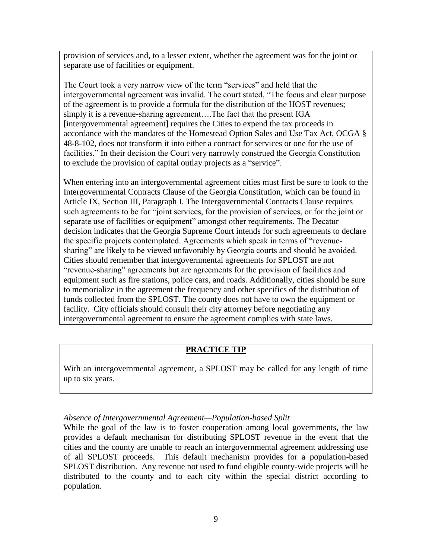provision of services and, to a lesser extent, whether the agreement was for the joint or separate use of facilities or equipment.

The Court took a very narrow view of the term "services" and held that the intergovernmental agreement was invalid. The court stated, "The focus and clear purpose of the agreement is to provide a formula for the distribution of the HOST revenues; simply it is a revenue-sharing agreement….The fact that the present IGA [intergovernmental agreement] requires the Cities to expend the tax proceeds in accordance with the mandates of the Homestead Option Sales and Use Tax Act, OCGA § 48-8-102, does not transform it into either a contract for services or one for the use of facilities." In their decision the Court very narrowly construed the Georgia Constitution to exclude the provision of capital outlay projects as a "service".

When entering into an intergovernmental agreement cities must first be sure to look to the Intergovernmental Contracts Clause of the Georgia Constitution, which can be found in Article IX, Section III, Paragraph I. The Intergovernmental Contracts Clause requires such agreements to be for "joint services, for the provision of services, or for the joint or separate use of facilities or equipment" amongst other requirements. The Decatur decision indicates that the Georgia Supreme Court intends for such agreements to declare the specific projects contemplated. Agreements which speak in terms of "revenuesharing" are likely to be viewed unfavorably by Georgia courts and should be avoided. Cities should remember that intergovernmental agreements for SPLOST are not "revenue-sharing" agreements but are agreements for the provision of facilities and equipment such as fire stations, police cars, and roads. Additionally, cities should be sure to memorialize in the agreement the frequency and other specifics of the distribution of funds collected from the SPLOST. The county does not have to own the equipment or facility. City officials should consult their city attorney before negotiating any intergovernmental agreement to ensure the agreement complies with state laws.

# **PRACTICE TIP**

With an intergovernmental agreement, a SPLOST may be called for any length of time up to six years.

#### *Absence of Intergovernmental Agreement—Population-based Split*

While the goal of the law is to foster cooperation among local governments, the law provides a default mechanism for distributing SPLOST revenue in the event that the cities and the county are unable to reach an intergovernmental agreement addressing use of all SPLOST proceeds. This default mechanism provides for a population-based SPLOST distribution. Any revenue not used to fund eligible county-wide projects will be distributed to the county and to each city within the special district according to population.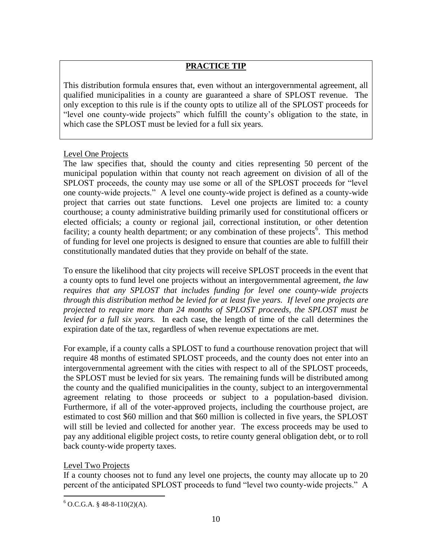# **PRACTICE TIP**

This distribution formula ensures that, even without an intergovernmental agreement, all qualified municipalities in a county are guaranteed a share of SPLOST revenue. The only exception to this rule is if the county opts to utilize all of the SPLOST proceeds for "level one county-wide projects" which fulfill the county's obligation to the state, in which case the SPLOST must be levied for a full six years.

#### Level One Projects

The law specifies that, should the county and cities representing 50 percent of the municipal population within that county not reach agreement on division of all of the SPLOST proceeds, the county may use some or all of the SPLOST proceeds for "level" one county-wide projects.‖ A level one county-wide project is defined as a county-wide project that carries out state functions. Level one projects are limited to: a county courthouse; a county administrative building primarily used for constitutional officers or elected officials; a county or regional jail, correctional institution, or other detention facility; a county health department; or any combination of these projects<sup>6</sup>. This method of funding for level one projects is designed to ensure that counties are able to fulfill their constitutionally mandated duties that they provide on behalf of the state.

To ensure the likelihood that city projects will receive SPLOST proceeds in the event that a county opts to fund level one projects without an intergovernmental agreement, *the law requires that any SPLOST that includes funding for level one county-wide projects through this distribution method be levied for at least five years. If level one projects are projected to require more than 24 months of SPLOST proceeds, the SPLOST must be levied for a full six years.* In each case, the length of time of the call determines the expiration date of the tax, regardless of when revenue expectations are met.

For example, if a county calls a SPLOST to fund a courthouse renovation project that will require 48 months of estimated SPLOST proceeds, and the county does not enter into an intergovernmental agreement with the cities with respect to all of the SPLOST proceeds, the SPLOST must be levied for six years. The remaining funds will be distributed among the county and the qualified municipalities in the county, subject to an intergovernmental agreement relating to those proceeds or subject to a population-based division. Furthermore, if all of the voter-approved projects, including the courthouse project, are estimated to cost \$60 million and that \$60 million is collected in five years, the SPLOST will still be levied and collected for another year. The excess proceeds may be used to pay any additional eligible project costs, to retire county general obligation debt, or to roll back county-wide property taxes.

#### Level Two Projects

 $\overline{a}$ 

If a county chooses not to fund any level one projects, the county may allocate up to 20 percent of the anticipated SPLOST proceeds to fund "level two county-wide projects." A

 $6$  O.C.G.A. § 48-8-110(2)(A).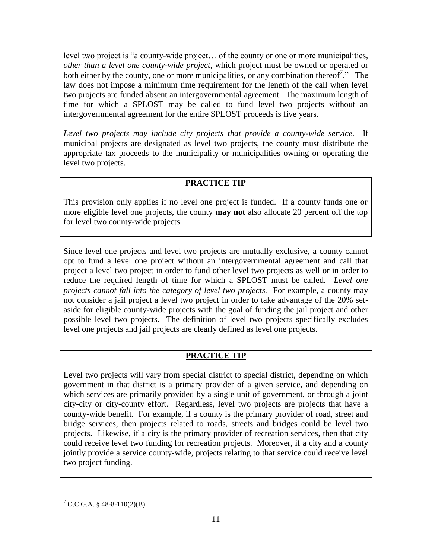level two project is "a county-wide project... of the county or one or more municipalities, *other than a level one county-wide project*, which project must be owned or operated or both either by the county, one or more municipalities, or any combination thereof<sup>7</sup>. $\cdot$  The law does not impose a minimum time requirement for the length of the call when level two projects are funded absent an intergovernmental agreement. The maximum length of time for which a SPLOST may be called to fund level two projects without an intergovernmental agreement for the entire SPLOST proceeds is five years.

*Level two projects may include city projects that provide a county-wide service.* If municipal projects are designated as level two projects, the county must distribute the appropriate tax proceeds to the municipality or municipalities owning or operating the level two projects.

# **PRACTICE TIP**

This provision only applies if no level one project is funded. If a county funds one or more eligible level one projects, the county **may not** also allocate 20 percent off the top for level two county-wide projects.

Since level one projects and level two projects are mutually exclusive, a county cannot opt to fund a level one project without an intergovernmental agreement and call that project a level two project in order to fund other level two projects as well or in order to reduce the required length of time for which a SPLOST must be called. *Level one projects cannot fall into the category of level two projects.* For example, a county may not consider a jail project a level two project in order to take advantage of the 20% setaside for eligible county-wide projects with the goal of funding the jail project and other possible level two projects. The definition of level two projects specifically excludes level one projects and jail projects are clearly defined as level one projects.

# **PRACTICE TIP**

Level two projects will vary from special district to special district, depending on which government in that district is a primary provider of a given service, and depending on which services are primarily provided by a single unit of government, or through a joint city-city or city-county effort. Regardless, level two projects are projects that have a county-wide benefit. For example, if a county is the primary provider of road, street and bridge services, then projects related to roads, streets and bridges could be level two projects. Likewise, if a city is the primary provider of recreation services, then that city could receive level two funding for recreation projects. Moreover, if a city and a county jointly provide a service county-wide, projects relating to that service could receive level two project funding.

 $\overline{a}$ 

 $7$  O.C.G.A. § 48-8-110(2)(B).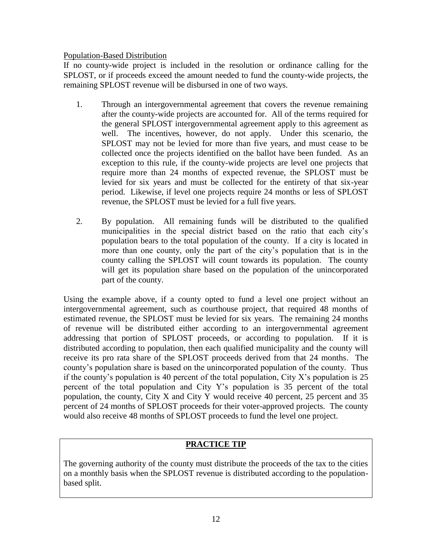#### Population-Based Distribution

If no county-wide project is included in the resolution or ordinance calling for the SPLOST, or if proceeds exceed the amount needed to fund the county-wide projects, the remaining SPLOST revenue will be disbursed in one of two ways.

- 1. Through an intergovernmental agreement that covers the revenue remaining after the county-wide projects are accounted for. All of the terms required for the general SPLOST intergovernmental agreement apply to this agreement as well. The incentives, however, do not apply. Under this scenario, the SPLOST may not be levied for more than five years, and must cease to be collected once the projects identified on the ballot have been funded. As an exception to this rule, if the county-wide projects are level one projects that require more than 24 months of expected revenue, the SPLOST must be levied for six years and must be collected for the entirety of that six-year period. Likewise, if level one projects require 24 months or less of SPLOST revenue, the SPLOST must be levied for a full five years.
- 2. By population. All remaining funds will be distributed to the qualified municipalities in the special district based on the ratio that each city's population bears to the total population of the county. If a city is located in more than one county, only the part of the city's population that is in the county calling the SPLOST will count towards its population. The county will get its population share based on the population of the unincorporated part of the county.

Using the example above, if a county opted to fund a level one project without an intergovernmental agreement, such as courthouse project, that required 48 months of estimated revenue, the SPLOST must be levied for six years. The remaining 24 months of revenue will be distributed either according to an intergovernmental agreement addressing that portion of SPLOST proceeds, or according to population. If it is distributed according to population, then each qualified municipality and the county will receive its pro rata share of the SPLOST proceeds derived from that 24 months. The county's population share is based on the unincorporated population of the county. Thus if the county's population is 40 percent of the total population, City X's population is  $25$ percent of the total population and City Y's population is 35 percent of the total population, the county, City X and City Y would receive 40 percent, 25 percent and 35 percent of 24 months of SPLOST proceeds for their voter-approved projects. The county would also receive 48 months of SPLOST proceeds to fund the level one project.

# **PRACTICE TIP**

The governing authority of the county must distribute the proceeds of the tax to the cities on a monthly basis when the SPLOST revenue is distributed according to the populationbased split.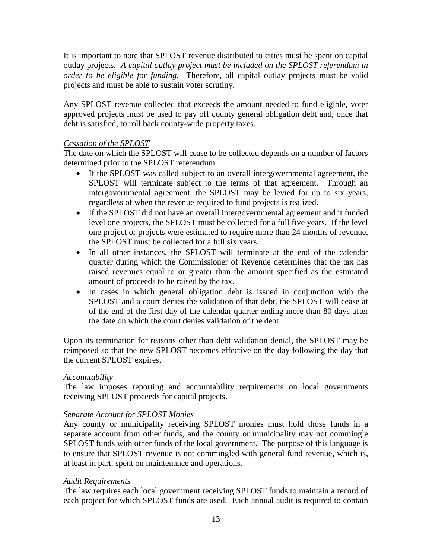It is important to note that SPLOST revenue distributed to cities must be spent on capital outlay projects. *A capital outlay project must be included on the SPLOST referendum in order to be eligible for funding.* Therefore, all capital outlay projects must be valid projects and must be able to sustain voter scrutiny.

Any SPLOST revenue collected that exceeds the amount needed to fund eligible, voter approved projects must be used to pay off county general obligation debt and, once that debt is satisfied, to roll back county-wide property taxes.

#### *Cessation of the SPLOST*

The date on which the SPLOST will cease to be collected depends on a number of factors determined prior to the SPLOST referendum.

- If the SPLOST was called subject to an overall intergovernmental agreement, the SPLOST will terminate subject to the terms of that agreement. Through an intergovernmental agreement, the SPLOST may be levied for up to six years, regardless of when the revenue required to fund projects is realized.
- If the SPLOST did not have an overall intergovernmental agreement and it funded level one projects, the SPLOST must be collected for a full five years. If the level one project or projects were estimated to require more than 24 months of revenue, the SPLOST must be collected for a full six years.
- In all other instances, the SPLOST will terminate at the end of the calendar quarter during which the Commissioner of Revenue determines that the tax has raised revenues equal to or greater than the amount specified as the estimated amount of proceeds to be raised by the tax.
- In cases in which general obligation debt is issued in conjunction with the SPLOST and a court denies the validation of that debt, the SPLOST will cease at of the end of the first day of the calendar quarter ending more than 80 days after the date on which the court denies validation of the debt.

Upon its termination for reasons other than debt validation denial, the SPLOST may be reimposed so that the new SPLOST becomes effective on the day following the day that the current SPLOST expires.

#### *Accountability*

The law imposes reporting and accountability requirements on local governments receiving SPLOST proceeds for capital projects.

#### *Separate Account for SPLOST Monies*

Any county or municipality receiving SPLOST monies must hold those funds in a separate account from other funds, and the county or municipality may not commingle SPLOST funds with other funds of the local government. The purpose of this language is to ensure that SPLOST revenue is not commingled with general fund revenue, which is, at least in part, spent on maintenance and operations.

#### *Audit Requirements*

The law requires each local government receiving SPLOST funds to maintain a record of each project for which SPLOST funds are used. Each annual audit is required to contain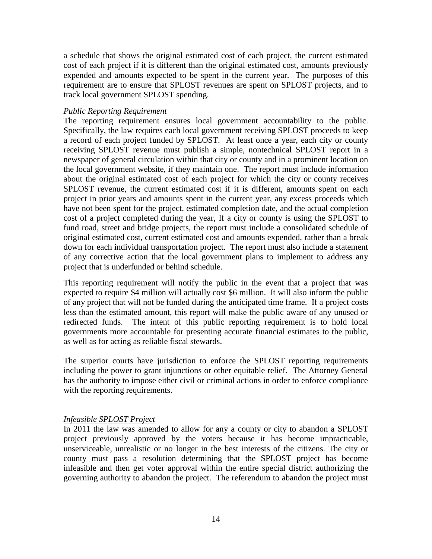a schedule that shows the original estimated cost of each project, the current estimated cost of each project if it is different than the original estimated cost, amounts previously expended and amounts expected to be spent in the current year. The purposes of this requirement are to ensure that SPLOST revenues are spent on SPLOST projects, and to track local government SPLOST spending.

#### *Public Reporting Requirement*

The reporting requirement ensures local government accountability to the public. Specifically, the law requires each local government receiving SPLOST proceeds to keep a record of each project funded by SPLOST. At least once a year, each city or county receiving SPLOST revenue must publish a simple, nontechnical SPLOST report in a newspaper of general circulation within that city or county and in a prominent location on the local government website, if they maintain one. The report must include information about the original estimated cost of each project for which the city or county receives SPLOST revenue, the current estimated cost if it is different, amounts spent on each project in prior years and amounts spent in the current year, any excess proceeds which have not been spent for the project, estimated completion date, and the actual completion cost of a project completed during the year, If a city or county is using the SPLOST to fund road, street and bridge projects, the report must include a consolidated schedule of original estimated cost, current estimated cost and amounts expended, rather than a break down for each individual transportation project. The report must also include a statement of any corrective action that the local government plans to implement to address any project that is underfunded or behind schedule.

This reporting requirement will notify the public in the event that a project that was expected to require \$4 million will actually cost \$6 million. It will also inform the public of any project that will not be funded during the anticipated time frame. If a project costs less than the estimated amount, this report will make the public aware of any unused or redirected funds. The intent of this public reporting requirement is to hold local governments more accountable for presenting accurate financial estimates to the public, as well as for acting as reliable fiscal stewards.

The superior courts have jurisdiction to enforce the SPLOST reporting requirements including the power to grant injunctions or other equitable relief. The Attorney General has the authority to impose either civil or criminal actions in order to enforce compliance with the reporting requirements.

#### *Infeasible SPLOST Project*

In 2011 the law was amended to allow for any a county or city to abandon a SPLOST project previously approved by the voters because it has become impracticable, unserviceable, unrealistic or no longer in the best interests of the citizens. The city or county must pass a resolution determining that the SPLOST project has become infeasible and then get voter approval within the entire special district authorizing the governing authority to abandon the project. The referendum to abandon the project must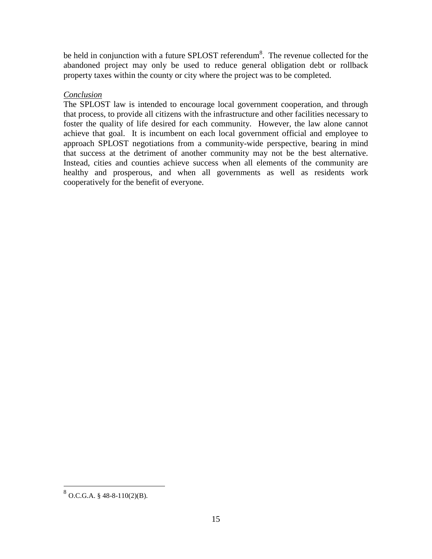be held in conjunction with a future SPLOST referendum<sup>8</sup>. The revenue collected for the abandoned project may only be used to reduce general obligation debt or rollback property taxes within the county or city where the project was to be completed.

## *Conclusion*

The SPLOST law is intended to encourage local government cooperation, and through that process, to provide all citizens with the infrastructure and other facilities necessary to foster the quality of life desired for each community. However, the law alone cannot achieve that goal. It is incumbent on each local government official and employee to approach SPLOST negotiations from a community-wide perspective, bearing in mind that success at the detriment of another community may not be the best alternative. Instead, cities and counties achieve success when all elements of the community are healthy and prosperous, and when all governments as well as residents work cooperatively for the benefit of everyone.

 $8\overline{)80.C.G.A. § 48-8-110(2)(B)}.$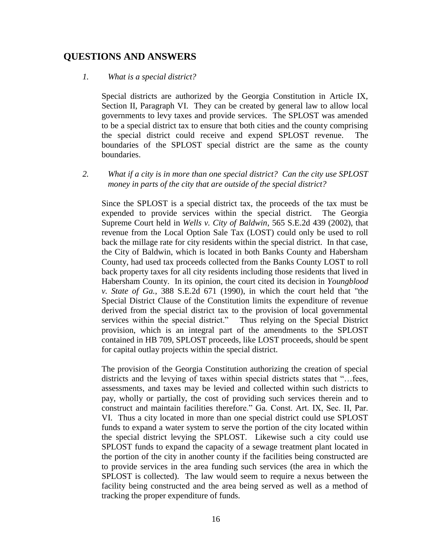# **QUESTIONS AND ANSWERS**

#### *1. What is a special district?*

Special districts are authorized by the Georgia Constitution in Article IX, Section II, Paragraph VI. They can be created by general law to allow local governments to levy taxes and provide services. The SPLOST was amended to be a special district tax to ensure that both cities and the county comprising the special district could receive and expend SPLOST revenue. The boundaries of the SPLOST special district are the same as the county boundaries.

*2. What if a city is in more than one special district? Can the city use SPLOST money in parts of the city that are outside of the special district?*

Since the SPLOST is a special district tax, the proceeds of the tax must be expended to provide services within the special district. The Georgia Supreme Court held in *Wells v. City of Baldwin*, 565 S.E.2d 439 (2002), that revenue from the Local Option Sale Tax (LOST) could only be used to roll back the millage rate for city residents within the special district. In that case, the City of Baldwin, which is located in both Banks County and Habersham County, had used tax proceeds collected from the Banks County LOST to roll back property taxes for all city residents including those residents that lived in Habersham County. In its opinion, the court cited its decision in *Youngblood v. State of Ga.*, 388 S.E.2d 671 (1990), in which the court held that "the Special District Clause of the Constitution limits the expenditure of revenue derived from the special district tax to the provision of local governmental services within the special district." Thus relying on the Special District provision, which is an integral part of the amendments to the SPLOST contained in HB 709, SPLOST proceeds, like LOST proceeds, should be spent for capital outlay projects within the special district.

The provision of the Georgia Constitution authorizing the creation of special districts and the levying of taxes within special districts states that "...fees, assessments, and taxes may be levied and collected within such districts to pay, wholly or partially, the cost of providing such services therein and to construct and maintain facilities therefore." Ga. Const. Art. IX, Sec. II, Par. VI. Thus a city located in more than one special district could use SPLOST funds to expand a water system to serve the portion of the city located within the special district levying the SPLOST. Likewise such a city could use SPLOST funds to expand the capacity of a sewage treatment plant located in the portion of the city in another county if the facilities being constructed are to provide services in the area funding such services (the area in which the SPLOST is collected). The law would seem to require a nexus between the facility being constructed and the area being served as well as a method of tracking the proper expenditure of funds.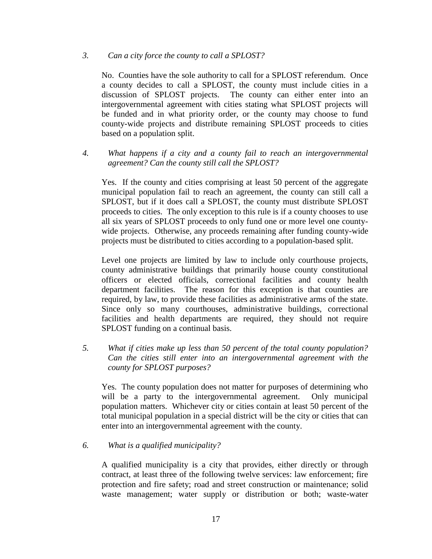#### *3. Can a city force the county to call a SPLOST?*

No. Counties have the sole authority to call for a SPLOST referendum. Once a county decides to call a SPLOST, the county must include cities in a discussion of SPLOST projects. The county can either enter into an intergovernmental agreement with cities stating what SPLOST projects will be funded and in what priority order, or the county may choose to fund county-wide projects and distribute remaining SPLOST proceeds to cities based on a population split.

*4. What happens if a city and a county fail to reach an intergovernmental agreement? Can the county still call the SPLOST?* 

Yes. If the county and cities comprising at least 50 percent of the aggregate municipal population fail to reach an agreement, the county can still call a SPLOST, but if it does call a SPLOST, the county must distribute SPLOST proceeds to cities. The only exception to this rule is if a county chooses to use all six years of SPLOST proceeds to only fund one or more level one countywide projects. Otherwise, any proceeds remaining after funding county-wide projects must be distributed to cities according to a population-based split.

Level one projects are limited by law to include only courthouse projects, county administrative buildings that primarily house county constitutional officers or elected officials, correctional facilities and county health department facilities. The reason for this exception is that counties are required, by law, to provide these facilities as administrative arms of the state. Since only so many courthouses, administrative buildings, correctional facilities and health departments are required, they should not require SPLOST funding on a continual basis.

*5. What if cities make up less than 50 percent of the total county population? Can the cities still enter into an intergovernmental agreement with the county for SPLOST purposes?*

Yes. The county population does not matter for purposes of determining who will be a party to the intergovernmental agreement. Only municipal population matters. Whichever city or cities contain at least 50 percent of the total municipal population in a special district will be the city or cities that can enter into an intergovernmental agreement with the county.

#### *6. What is a qualified municipality?*

A qualified municipality is a city that provides, either directly or through contract, at least three of the following twelve services: law enforcement; fire protection and fire safety; road and street construction or maintenance; solid waste management; water supply or distribution or both; waste-water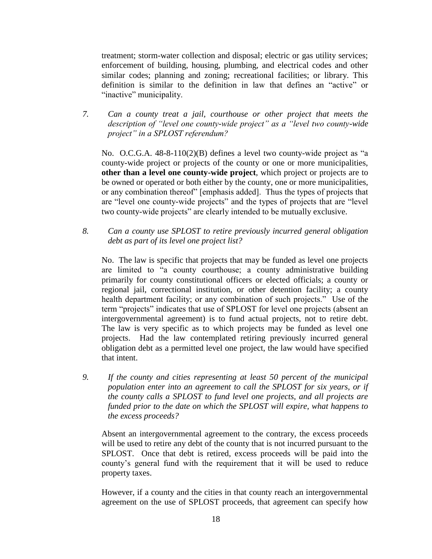treatment; storm-water collection and disposal; electric or gas utility services; enforcement of building, housing, plumbing, and electrical codes and other similar codes; planning and zoning; recreational facilities; or library. This definition is similar to the definition in law that defines an "active" or "inactive" municipality.

*7. Can a county treat a jail, courthouse or other project that meets the description of "level one county-wide project" as a "level two county-wide project" in a SPLOST referendum?*

No. O.C.G.A.  $48-8-110(2)(B)$  defines a level two county-wide project as "a county-wide project or projects of the county or one or more municipalities, **other than a level one county-wide project**, which project or projects are to be owned or operated or both either by the county, one or more municipalities, or any combination thereof" [emphasis added]. Thus the types of projects that are "level one county-wide projects" and the types of projects that are "level" two county-wide projects" are clearly intended to be mutually exclusive.

*8. Can a county use SPLOST to retire previously incurred general obligation debt as part of its level one project list?*

No. The law is specific that projects that may be funded as level one projects are limited to "a county courthouse; a county administrative building primarily for county constitutional officers or elected officials; a county or regional jail, correctional institution, or other detention facility; a county health department facility; or any combination of such projects." Use of the term "projects" indicates that use of SPLOST for level one projects (absent an intergovernmental agreement) is to fund actual projects, not to retire debt. The law is very specific as to which projects may be funded as level one projects. Had the law contemplated retiring previously incurred general obligation debt as a permitted level one project, the law would have specified that intent.

*9. If the county and cities representing at least 50 percent of the municipal population enter into an agreement to call the SPLOST for six years, or if the county calls a SPLOST to fund level one projects, and all projects are funded prior to the date on which the SPLOST will expire, what happens to the excess proceeds?*

Absent an intergovernmental agreement to the contrary, the excess proceeds will be used to retire any debt of the county that is not incurred pursuant to the SPLOST. Once that debt is retired, excess proceeds will be paid into the county's general fund with the requirement that it will be used to reduce property taxes.

However, if a county and the cities in that county reach an intergovernmental agreement on the use of SPLOST proceeds, that agreement can specify how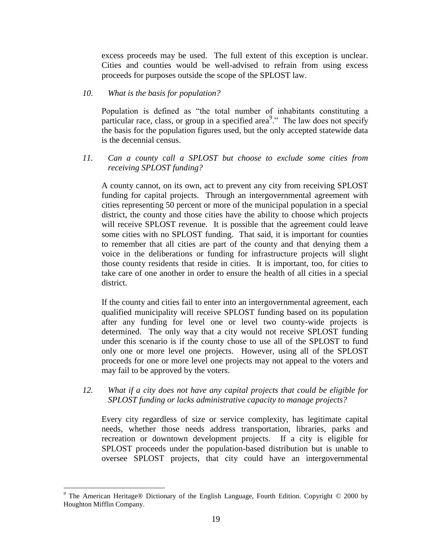excess proceeds may be used. The full extent of this exception is unclear. Cities and counties would be well-advised to refrain from using excess proceeds for purposes outside the scope of the SPLOST law.

#### *10. What is the basis for population?*

Population is defined as "the total number of inhabitants constituting a particular race, class, or group in a specified area<sup>9</sup>." The law does not specify the basis for the population figures used, but the only accepted statewide data is the decennial census.

#### *11. Can a county call a SPLOST but choose to exclude some cities from receiving SPLOST funding?*

A county cannot, on its own, act to prevent any city from receiving SPLOST funding for capital projects. Through an intergovernmental agreement with cities representing 50 percent or more of the municipal population in a special district, the county and those cities have the ability to choose which projects will receive SPLOST revenue. It is possible that the agreement could leave some cities with no SPLOST funding. That said, it is important for counties to remember that all cities are part of the county and that denying them a voice in the deliberations or funding for infrastructure projects will slight those county residents that reside in cities. It is important, too, for cities to take care of one another in order to ensure the health of all cities in a special district.

If the county and cities fail to enter into an intergovernmental agreement, each qualified municipality will receive SPLOST funding based on its population after any funding for level one or level two county-wide projects is determined. The only way that a city would not receive SPLOST funding under this scenario is if the county chose to use all of the SPLOST to fund only one or more level one projects. However, using all of the SPLOST proceeds for one or more level one projects may not appeal to the voters and may fail to be approved by the voters.

## *12. What if a city does not have any capital projects that could be eligible for SPLOST funding or lacks administrative capacity to manage projects?*

Every city regardless of size or service complexity, has legitimate capital needs, whether those needs address transportation, libraries, parks and recreation or downtown development projects. If a city is eligible for SPLOST proceeds under the population-based distribution but is unable to oversee SPLOST projects, that city could have an intergovernmental

 $\overline{a}$ 

*<sup>9</sup>* The American Heritage® Dictionary of the English Language, Fourth Edition*.* Copyright © 2000 by Houghton Mifflin Company.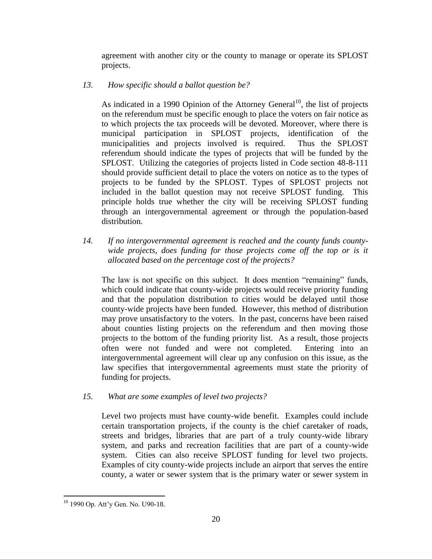agreement with another city or the county to manage or operate its SPLOST projects.

*13. How specific should a ballot question be?*

As indicated in a 1990 Opinion of the Attorney General<sup>10</sup>, the list of projects on the referendum must be specific enough to place the voters on fair notice as to which projects the tax proceeds will be devoted. Moreover, where there is municipal participation in SPLOST projects, identification of the municipalities and projects involved is required. Thus the SPLOST referendum should indicate the types of projects that will be funded by the SPLOST. Utilizing the categories of projects listed in Code section 48-8-111 should provide sufficient detail to place the voters on notice as to the types of projects to be funded by the SPLOST. Types of SPLOST projects not included in the ballot question may not receive SPLOST funding. This principle holds true whether the city will be receiving SPLOST funding through an intergovernmental agreement or through the population-based distribution.

*14. If no intergovernmental agreement is reached and the county funds countywide projects, does funding for those projects come off the top or is it allocated based on the percentage cost of the projects?*

The law is not specific on this subject. It does mention "remaining" funds, which could indicate that county-wide projects would receive priority funding and that the population distribution to cities would be delayed until those county-wide projects have been funded. However, this method of distribution may prove unsatisfactory to the voters. In the past, concerns have been raised about counties listing projects on the referendum and then moving those projects to the bottom of the funding priority list. As a result, those projects often were not funded and were not completed. Entering into an intergovernmental agreement will clear up any confusion on this issue, as the law specifies that intergovernmental agreements must state the priority of funding for projects.

*15. What are some examples of level two projects?*

Level two projects must have county-wide benefit. Examples could include certain transportation projects, if the county is the chief caretaker of roads, streets and bridges, libraries that are part of a truly county-wide library system, and parks and recreation facilities that are part of a county-wide system. Cities can also receive SPLOST funding for level two projects. Examples of city county-wide projects include an airport that serves the entire county, a water or sewer system that is the primary water or sewer system in

 $\overline{a}$ <sup>10</sup> 1990 Op. Att'y Gen. No. U90-18.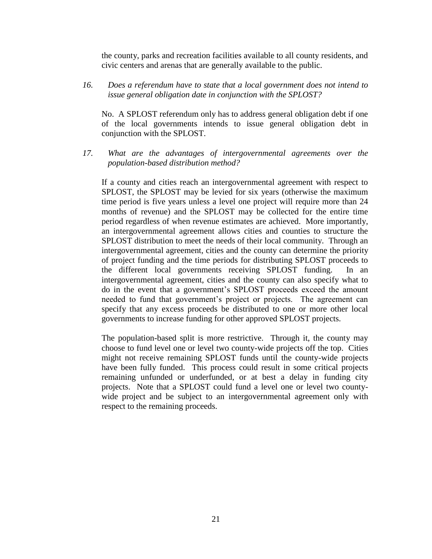the county, parks and recreation facilities available to all county residents, and civic centers and arenas that are generally available to the public.

*16. Does a referendum have to state that a local government does not intend to issue general obligation date in conjunction with the SPLOST?*

No. A SPLOST referendum only has to address general obligation debt if one of the local governments intends to issue general obligation debt in conjunction with the SPLOST.

*17. What are the advantages of intergovernmental agreements over the population-based distribution method?*

If a county and cities reach an intergovernmental agreement with respect to SPLOST, the SPLOST may be levied for six years (otherwise the maximum time period is five years unless a level one project will require more than 24 months of revenue) and the SPLOST may be collected for the entire time period regardless of when revenue estimates are achieved. More importantly, an intergovernmental agreement allows cities and counties to structure the SPLOST distribution to meet the needs of their local community. Through an intergovernmental agreement, cities and the county can determine the priority of project funding and the time periods for distributing SPLOST proceeds to the different local governments receiving SPLOST funding. In an intergovernmental agreement, cities and the county can also specify what to do in the event that a government's SPLOST proceeds exceed the amount needed to fund that government's project or projects. The agreement can specify that any excess proceeds be distributed to one or more other local governments to increase funding for other approved SPLOST projects.

The population-based split is more restrictive. Through it, the county may choose to fund level one or level two county-wide projects off the top. Cities might not receive remaining SPLOST funds until the county-wide projects have been fully funded. This process could result in some critical projects remaining unfunded or underfunded, or at best a delay in funding city projects. Note that a SPLOST could fund a level one or level two countywide project and be subject to an intergovernmental agreement only with respect to the remaining proceeds.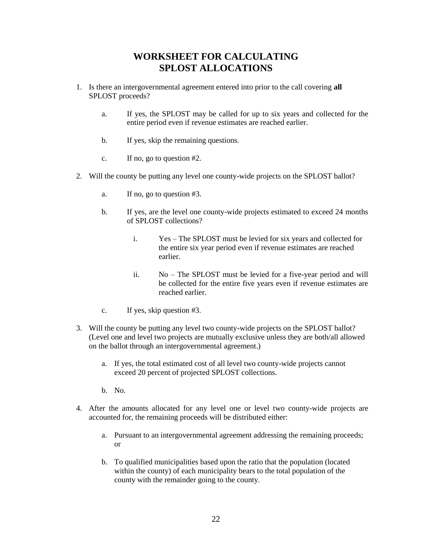# **WORKSHEET FOR CALCULATING SPLOST ALLOCATIONS**

- 1. Is there an intergovernmental agreement entered into prior to the call covering **all**  SPLOST proceeds?
	- a. If yes, the SPLOST may be called for up to six years and collected for the entire period even if revenue estimates are reached earlier.
	- b. If yes, skip the remaining questions.
	- c. If no, go to question #2.
- 2. Will the county be putting any level one county-wide projects on the SPLOST ballot?
	- a. If no, go to question #3.
	- b. If yes, are the level one county-wide projects estimated to exceed 24 months of SPLOST collections?
		- i. Yes The SPLOST must be levied for six years and collected for the entire six year period even if revenue estimates are reached earlier.
		- ii. No The SPLOST must be levied for a five-year period and will be collected for the entire five years even if revenue estimates are reached earlier.
	- c. If yes, skip question #3.
- 3. Will the county be putting any level two county-wide projects on the SPLOST ballot? (Level one and level two projects are mutually exclusive unless they are both/all allowed on the ballot through an intergovernmental agreement.)
	- a. If yes, the total estimated cost of all level two county-wide projects cannot exceed 20 percent of projected SPLOST collections.
	- b. No.
- 4. After the amounts allocated for any level one or level two county-wide projects are accounted for, the remaining proceeds will be distributed either:
	- a. Pursuant to an intergovernmental agreement addressing the remaining proceeds; or
	- b. To qualified municipalities based upon the ratio that the population (located within the county) of each municipality bears to the total population of the county with the remainder going to the county.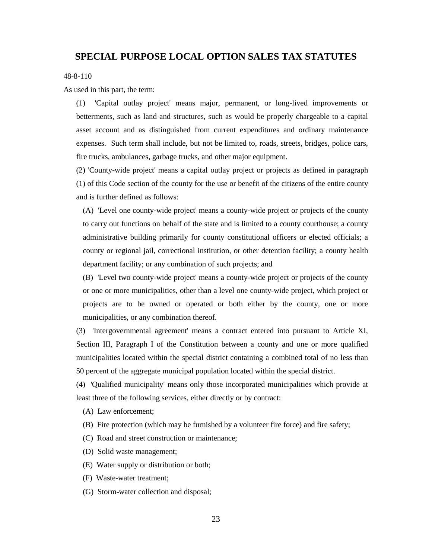#### **SPECIAL PURPOSE LOCAL OPTION SALES TAX STATUTES**

48-8-110

As used in this part, the term:

(1) 'Capital outlay project' means major, permanent, or long-lived improvements or betterments, such as land and structures, such as would be properly chargeable to a capital asset account and as distinguished from current expenditures and ordinary maintenance expenses. Such term shall include, but not be limited to, roads, streets, bridges, police cars, fire trucks, ambulances, garbage trucks, and other major equipment.

(2) 'County-wide project' means a capital outlay project or projects as defined in paragraph (1) of this Code section of the county for the use or benefit of the citizens of the entire county and is further defined as follows:

(A) 'Level one county-wide project' means a county-wide project or projects of the county to carry out functions on behalf of the state and is limited to a county courthouse; a county administrative building primarily for county constitutional officers or elected officials; a county or regional jail, correctional institution, or other detention facility; a county health department facility; or any combination of such projects; and

(B) 'Level two county-wide project' means a county-wide project or projects of the county or one or more municipalities, other than a level one county-wide project, which project or projects are to be owned or operated or both either by the county, one or more municipalities, or any combination thereof.

(3) 'Intergovernmental agreement' means a contract entered into pursuant to Article XI, Section III, Paragraph I of the Constitution between a county and one or more qualified municipalities located within the special district containing a combined total of no less than 50 percent of the aggregate municipal population located within the special district.

(4) 'Qualified municipality' means only those incorporated municipalities which provide at least three of the following services, either directly or by contract:

(A) Law enforcement;

(B) Fire protection (which may be furnished by a volunteer fire force) and fire safety;

(C) Road and street construction or maintenance;

- (D) Solid waste management;
- (E) Water supply or distribution or both;
- (F) Waste-water treatment;
- (G) Storm-water collection and disposal;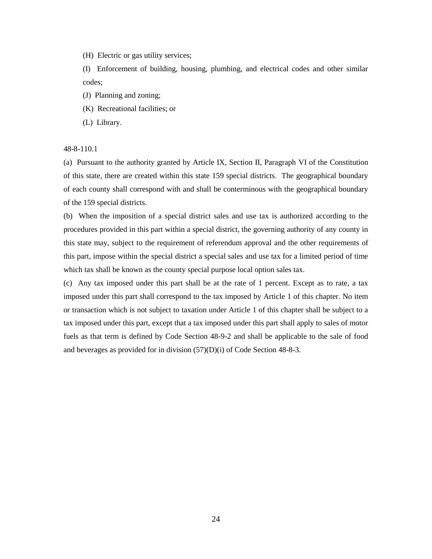(H) Electric or gas utility services;

(I) Enforcement of building, housing, plumbing, and electrical codes and other similar codes;

- (J) Planning and zoning;
- (K) Recreational facilities; or
- (L) Library.

48-8-110.1

(a) Pursuant to the authority granted by Article IX, Section II, Paragraph VI of the Constitution of this state, there are created within this state 159 special districts. The geographical boundary of each county shall correspond with and shall be conterminous with the geographical boundary of the 159 special districts.

(b) When the imposition of a special district sales and use tax is authorized according to the procedures provided in this part within a special district, the governing authority of any county in this state may, subject to the requirement of referendum approval and the other requirements of this part, impose within the special district a special sales and use tax for a limited period of time which tax shall be known as the county special purpose local option sales tax.

(c) Any tax imposed under this part shall be at the rate of 1 percent. Except as to rate, a tax imposed under this part shall correspond to the tax imposed by Article 1 of this chapter. No item or transaction which is not subject to taxation under Article 1 of this chapter shall be subject to a tax imposed under this part, except that a tax imposed under this part shall apply to sales of motor fuels as that term is defined by Code Section 48-9-2 and shall be applicable to the sale of food and beverages as provided for in division (57)(D)(i) of Code Section 48-8-3.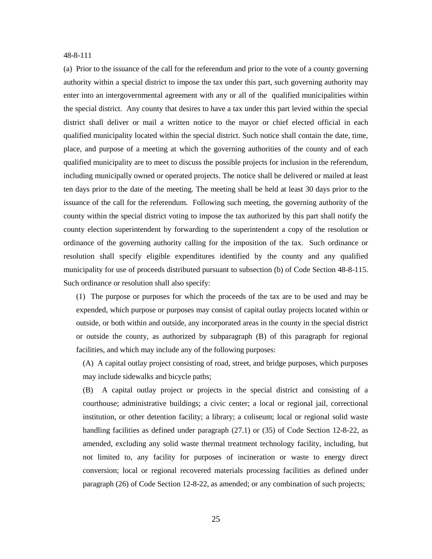#### 48-8-111

(a) Prior to the issuance of the call for the referendum and prior to the vote of a county governing authority within a special district to impose the tax under this part, such governing authority may enter into an intergovernmental agreement with any or all of the qualified municipalities within the special district. Any county that desires to have a tax under this part levied within the special district shall deliver or mail a written notice to the mayor or chief elected official in each qualified municipality located within the special district. Such notice shall contain the date, time, place, and purpose of a meeting at which the governing authorities of the county and of each qualified municipality are to meet to discuss the possible projects for inclusion in the referendum, including municipally owned or operated projects. The notice shall be delivered or mailed at least ten days prior to the date of the meeting. The meeting shall be held at least 30 days prior to the issuance of the call for the referendum. Following such meeting, the governing authority of the county within the special district voting to impose the tax authorized by this part shall notify the county election superintendent by forwarding to the superintendent a copy of the resolution or ordinance of the governing authority calling for the imposition of the tax. Such ordinance or resolution shall specify eligible expenditures identified by the county and any qualified municipality for use of proceeds distributed pursuant to subsection (b) of Code Section 48-8-115. Such ordinance or resolution shall also specify:

(1) The purpose or purposes for which the proceeds of the tax are to be used and may be expended, which purpose or purposes may consist of capital outlay projects located within or outside, or both within and outside, any incorporated areas in the county in the special district or outside the county, as authorized by subparagraph (B) of this paragraph for regional facilities, and which may include any of the following purposes:

(A) A capital outlay project consisting of road, street, and bridge purposes, which purposes may include sidewalks and bicycle paths;

(B) A capital outlay project or projects in the special district and consisting of a courthouse; administrative buildings; a civic center; a local or regional jail, correctional institution, or other detention facility; a library; a coliseum; local or regional solid waste handling facilities as defined under paragraph (27.1) or (35) of Code Section 12-8-22, as amended, excluding any solid waste thermal treatment technology facility, including, but not limited to, any facility for purposes of incineration or waste to energy direct conversion; local or regional recovered materials processing facilities as defined under paragraph (26) of Code Section 12-8-22, as amended; or any combination of such projects;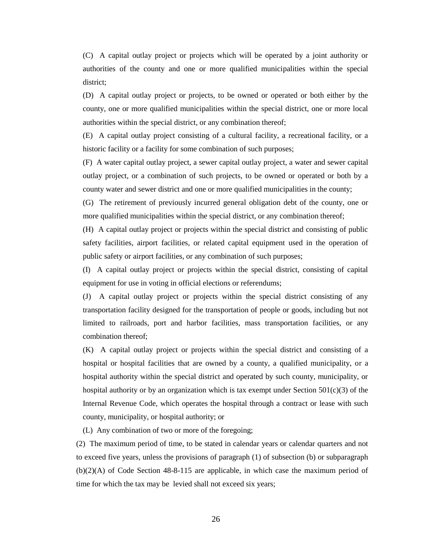(C) A capital outlay project or projects which will be operated by a joint authority or authorities of the county and one or more qualified municipalities within the special district;

(D) A capital outlay project or projects, to be owned or operated or both either by the county, one or more qualified municipalities within the special district, one or more local authorities within the special district, or any combination thereof;

(E) A capital outlay project consisting of a cultural facility, a recreational facility, or a historic facility or a facility for some combination of such purposes;

(F) A water capital outlay project, a sewer capital outlay project, a water and sewer capital outlay project, or a combination of such projects, to be owned or operated or both by a county water and sewer district and one or more qualified municipalities in the county;

(G) The retirement of previously incurred general obligation debt of the county, one or more qualified municipalities within the special district, or any combination thereof;

(H) A capital outlay project or projects within the special district and consisting of public safety facilities, airport facilities, or related capital equipment used in the operation of public safety or airport facilities, or any combination of such purposes;

(I) A capital outlay project or projects within the special district, consisting of capital equipment for use in voting in official elections or referendums;

(J) A capital outlay project or projects within the special district consisting of any transportation facility designed for the transportation of people or goods, including but not limited to railroads, port and harbor facilities, mass transportation facilities, or any combination thereof;

(K) A capital outlay project or projects within the special district and consisting of a hospital or hospital facilities that are owned by a county, a qualified municipality, or a hospital authority within the special district and operated by such county, municipality, or hospital authority or by an organization which is tax exempt under Section  $501(c)(3)$  of the Internal Revenue Code, which operates the hospital through a contract or lease with such county, municipality, or hospital authority; or

(L) Any combination of two or more of the foregoing;

(2) The maximum period of time, to be stated in calendar years or calendar quarters and not to exceed five years, unless the provisions of paragraph (1) of subsection (b) or subparagraph (b)(2)(A) of Code Section 48-8-115 are applicable, in which case the maximum period of time for which the tax may be levied shall not exceed six years;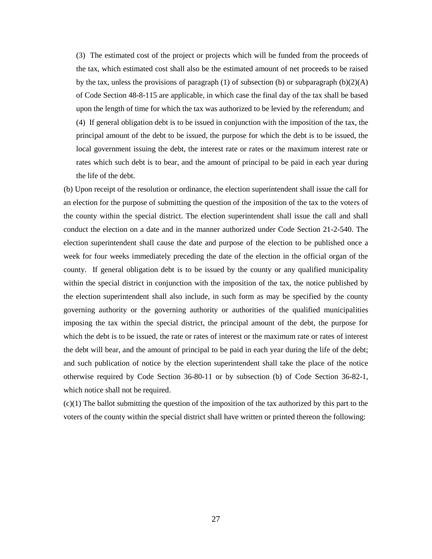(3) The estimated cost of the project or projects which will be funded from the proceeds of the tax, which estimated cost shall also be the estimated amount of net proceeds to be raised by the tax, unless the provisions of paragraph (1) of subsection (b) or subparagraph  $(b)(2)(A)$ of Code Section 48-8-115 are applicable, in which case the final day of the tax shall be based upon the length of time for which the tax was authorized to be levied by the referendum; and (4) If general obligation debt is to be issued in conjunction with the imposition of the tax, the principal amount of the debt to be issued, the purpose for which the debt is to be issued, the local government issuing the debt, the interest rate or rates or the maximum interest rate or rates which such debt is to bear, and the amount of principal to be paid in each year during the life of the debt.

(b) Upon receipt of the resolution or ordinance, the election superintendent shall issue the call for an election for the purpose of submitting the question of the imposition of the tax to the voters of the county within the special district. The election superintendent shall issue the call and shall conduct the election on a date and in the manner authorized under Code Section 21-2-540. The election superintendent shall cause the date and purpose of the election to be published once a week for four weeks immediately preceding the date of the election in the official organ of the county. If general obligation debt is to be issued by the county or any qualified municipality within the special district in conjunction with the imposition of the tax, the notice published by the election superintendent shall also include, in such form as may be specified by the county governing authority or the governing authority or authorities of the qualified municipalities imposing the tax within the special district, the principal amount of the debt, the purpose for which the debt is to be issued, the rate or rates of interest or the maximum rate or rates of interest the debt will bear, and the amount of principal to be paid in each year during the life of the debt; and such publication of notice by the election superintendent shall take the place of the notice otherwise required by Code Section 36-80-11 or by subsection (b) of Code Section 36-82-1, which notice shall not be required.

(c)(1) The ballot submitting the question of the imposition of the tax authorized by this part to the voters of the county within the special district shall have written or printed thereon the following: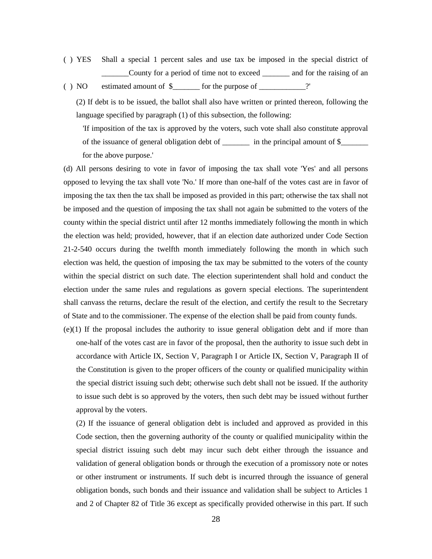- ( ) YES Shall a special 1 percent sales and use tax be imposed in the special district of \_\_\_\_\_\_\_County for a period of time not to exceed \_\_\_\_\_\_\_ and for the raising of an
- ( ) NO estimated amount of  $\frac{1}{2}$  for the purpose of \_\_\_\_\_\_\_\_\_\_?'

(2) If debt is to be issued, the ballot shall also have written or printed thereon, following the language specified by paragraph (1) of this subsection, the following:

'If imposition of the tax is approved by the voters, such vote shall also constitute approval of the issuance of general obligation debt of \_\_\_\_\_\_\_ in the principal amount of \$\_\_\_\_\_\_\_ for the above purpose.'

(d) All persons desiring to vote in favor of imposing the tax shall vote 'Yes' and all persons opposed to levying the tax shall vote 'No.' If more than one-half of the votes cast are in favor of imposing the tax then the tax shall be imposed as provided in this part; otherwise the tax shall not be imposed and the question of imposing the tax shall not again be submitted to the voters of the county within the special district until after 12 months immediately following the month in which the election was held; provided, however, that if an election date authorized under Code Section 21-2-540 occurs during the twelfth month immediately following the month in which such election was held, the question of imposing the tax may be submitted to the voters of the county within the special district on such date. The election superintendent shall hold and conduct the election under the same rules and regulations as govern special elections. The superintendent shall canvass the returns, declare the result of the election, and certify the result to the Secretary of State and to the commissioner. The expense of the election shall be paid from county funds.

(e)(1) If the proposal includes the authority to issue general obligation debt and if more than one-half of the votes cast are in favor of the proposal, then the authority to issue such debt in accordance with Article IX, Section V, Paragraph I or Article IX, Section V, Paragraph II of the Constitution is given to the proper officers of the county or qualified municipality within the special district issuing such debt; otherwise such debt shall not be issued. If the authority to issue such debt is so approved by the voters, then such debt may be issued without further approval by the voters.

(2) If the issuance of general obligation debt is included and approved as provided in this Code section, then the governing authority of the county or qualified municipality within the special district issuing such debt may incur such debt either through the issuance and validation of general obligation bonds or through the execution of a promissory note or notes or other instrument or instruments. If such debt is incurred through the issuance of general obligation bonds, such bonds and their issuance and validation shall be subject to Articles 1 and 2 of Chapter 82 of Title 36 except as specifically provided otherwise in this part. If such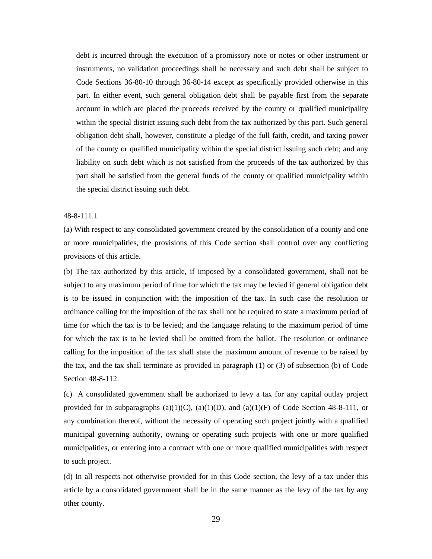debt is incurred through the execution of a promissory note or notes or other instrument or instruments, no validation proceedings shall be necessary and such debt shall be subject to Code Sections 36-80-10 through 36-80-14 except as specifically provided otherwise in this part. In either event, such general obligation debt shall be payable first from the separate account in which are placed the proceeds received by the county or qualified municipality within the special district issuing such debt from the tax authorized by this part. Such general obligation debt shall, however, constitute a pledge of the full faith, credit, and taxing power of the county or qualified municipality within the special district issuing such debt; and any liability on such debt which is not satisfied from the proceeds of the tax authorized by this part shall be satisfied from the general funds of the county or qualified municipality within the special district issuing such debt.

#### 48-8-111.1

(a) With respect to any consolidated government created by the consolidation of a county and one or more municipalities, the provisions of this Code section shall control over any conflicting provisions of this article.

(b) The tax authorized by this article, if imposed by a consolidated government, shall not be subject to any maximum period of time for which the tax may be levied if general obligation debt is to be issued in conjunction with the imposition of the tax. In such case the resolution or ordinance calling for the imposition of the tax shall not be required to state a maximum period of time for which the tax is to be levied; and the language relating to the maximum period of time for which the tax is to be levied shall be omitted from the ballot. The resolution or ordinance calling for the imposition of the tax shall state the maximum amount of revenue to be raised by the tax, and the tax shall terminate as provided in paragraph (1) or (3) of subsection (b) of Code Section 48-8-112.

(c) A consolidated government shall be authorized to levy a tax for any capital outlay project provided for in subparagraphs  $(a)(1)(C)$ ,  $(a)(1)(D)$ , and  $(a)(1)(F)$  of Code Section 48-8-111, or any combination thereof, without the necessity of operating such project jointly with a qualified municipal governing authority, owning or operating such projects with one or more qualified municipalities, or entering into a contract with one or more qualified municipalities with respect to such project.

(d) In all respects not otherwise provided for in this Code section, the levy of a tax under this article by a consolidated government shall be in the same manner as the levy of the tax by any other county.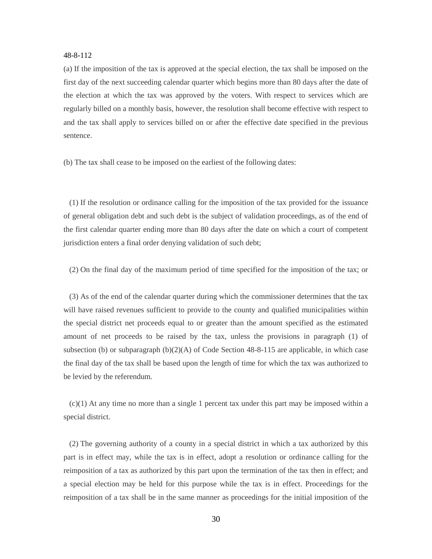#### 48-8-112

(a) If the imposition of the tax is approved at the special election, the tax shall be imposed on the first day of the next succeeding calendar quarter which begins more than 80 days after the date of the election at which the tax was approved by the voters. With respect to services which are regularly billed on a monthly basis, however, the resolution shall become effective with respect to and the tax shall apply to services billed on or after the effective date specified in the previous sentence.

(b) The tax shall cease to be imposed on the earliest of the following dates:

 (1) If the resolution or ordinance calling for the imposition of the tax provided for the issuance of general obligation debt and such debt is the subject of validation proceedings, as of the end of the first calendar quarter ending more than 80 days after the date on which a court of competent jurisdiction enters a final order denying validation of such debt;

(2) On the final day of the maximum period of time specified for the imposition of the tax; or

 (3) As of the end of the calendar quarter during which the commissioner determines that the tax will have raised revenues sufficient to provide to the county and qualified municipalities within the special district net proceeds equal to or greater than the amount specified as the estimated amount of net proceeds to be raised by the tax, unless the provisions in paragraph (1) of subsection (b) or subparagraph  $(b)(2)(A)$  of Code Section 48-8-115 are applicable, in which case the final day of the tax shall be based upon the length of time for which the tax was authorized to be levied by the referendum.

 (c)(1) At any time no more than a single 1 percent tax under this part may be imposed within a special district.

 (2) The governing authority of a county in a special district in which a tax authorized by this part is in effect may, while the tax is in effect, adopt a resolution or ordinance calling for the reimposition of a tax as authorized by this part upon the termination of the tax then in effect; and a special election may be held for this purpose while the tax is in effect. Proceedings for the reimposition of a tax shall be in the same manner as proceedings for the initial imposition of the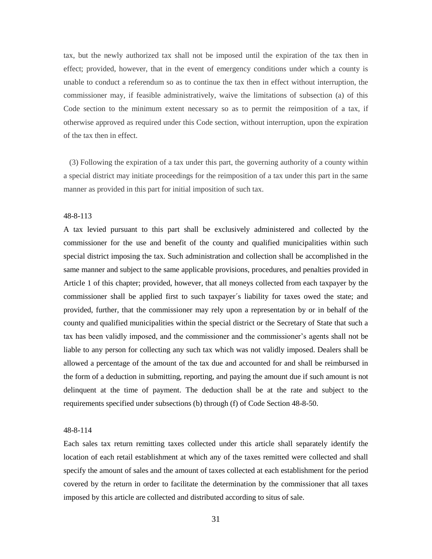tax, but the newly authorized tax shall not be imposed until the expiration of the tax then in effect; provided, however, that in the event of emergency conditions under which a county is unable to conduct a referendum so as to continue the tax then in effect without interruption, the commissioner may, if feasible administratively, waive the limitations of subsection (a) of this Code section to the minimum extent necessary so as to permit the reimposition of a tax, if otherwise approved as required under this Code section, without interruption, upon the expiration of the tax then in effect.

 (3) Following the expiration of a tax under this part, the governing authority of a county within a special district may initiate proceedings for the reimposition of a tax under this part in the same manner as provided in this part for initial imposition of such tax.

#### 48-8-113

A tax levied pursuant to this part shall be exclusively administered and collected by the commissioner for the use and benefit of the county and qualified municipalities within such special district imposing the tax. Such administration and collection shall be accomplished in the same manner and subject to the same applicable provisions, procedures, and penalties provided in Article 1 of this chapter; provided, however, that all moneys collected from each taxpayer by the commissioner shall be applied first to such taxpayer´s liability for taxes owed the state; and provided, further, that the commissioner may rely upon a representation by or in behalf of the county and qualified municipalities within the special district or the Secretary of State that such a tax has been validly imposed, and the commissioner and the commissioner's agents shall not be liable to any person for collecting any such tax which was not validly imposed. Dealers shall be allowed a percentage of the amount of the tax due and accounted for and shall be reimbursed in the form of a deduction in submitting, reporting, and paying the amount due if such amount is not delinquent at the time of payment. The deduction shall be at the rate and subject to the requirements specified under subsections (b) through (f) of Code Section 48-8-50.

#### 48-8-114

Each sales tax return remitting taxes collected under this article shall separately identify the location of each retail establishment at which any of the taxes remitted were collected and shall specify the amount of sales and the amount of taxes collected at each establishment for the period covered by the return in order to facilitate the determination by the commissioner that all taxes imposed by this article are collected and distributed according to situs of sale.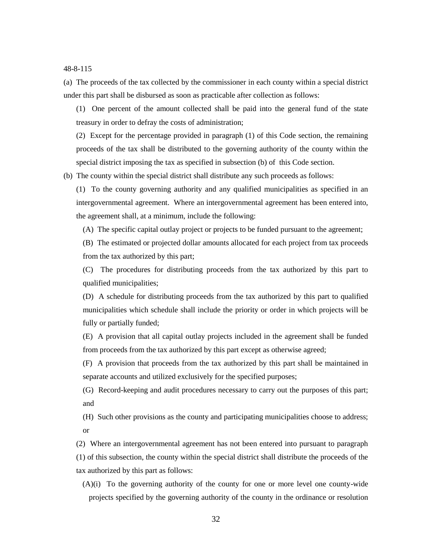48-8-115

(a) The proceeds of the tax collected by the commissioner in each county within a special district under this part shall be disbursed as soon as practicable after collection as follows:

(1) One percent of the amount collected shall be paid into the general fund of the state treasury in order to defray the costs of administration;

(2) Except for the percentage provided in paragraph (1) of this Code section, the remaining proceeds of the tax shall be distributed to the governing authority of the county within the special district imposing the tax as specified in subsection (b) of this Code section.

(b) The county within the special district shall distribute any such proceeds as follows:

(1) To the county governing authority and any qualified municipalities as specified in an intergovernmental agreement. Where an intergovernmental agreement has been entered into, the agreement shall, at a minimum, include the following:

(A) The specific capital outlay project or projects to be funded pursuant to the agreement;

(B) The estimated or projected dollar amounts allocated for each project from tax proceeds from the tax authorized by this part;

(C) The procedures for distributing proceeds from the tax authorized by this part to qualified municipalities;

(D) A schedule for distributing proceeds from the tax authorized by this part to qualified municipalities which schedule shall include the priority or order in which projects will be fully or partially funded;

(E) A provision that all capital outlay projects included in the agreement shall be funded from proceeds from the tax authorized by this part except as otherwise agreed;

(F) A provision that proceeds from the tax authorized by this part shall be maintained in separate accounts and utilized exclusively for the specified purposes;

(G) Record-keeping and audit procedures necessary to carry out the purposes of this part; and

(H) Such other provisions as the county and participating municipalities choose to address; or

(2) Where an intergovernmental agreement has not been entered into pursuant to paragraph (1) of this subsection, the county within the special district shall distribute the proceeds of the tax authorized by this part as follows:

(A)(i) To the governing authority of the county for one or more level one county-wide projects specified by the governing authority of the county in the ordinance or resolution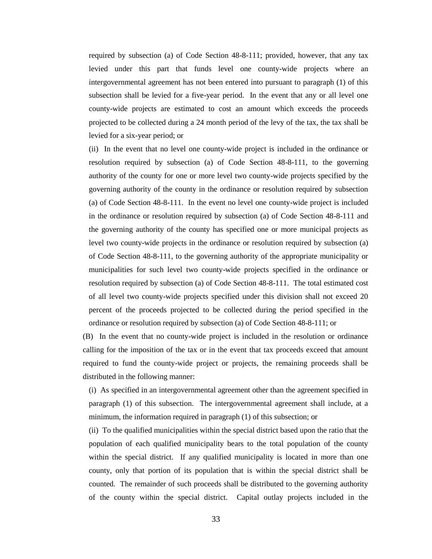required by subsection (a) of Code Section 48-8-111; provided, however, that any tax levied under this part that funds level one county-wide projects where an intergovernmental agreement has not been entered into pursuant to paragraph (1) of this subsection shall be levied for a five-year period. In the event that any or all level one county-wide projects are estimated to cost an amount which exceeds the proceeds projected to be collected during a 24 month period of the levy of the tax, the tax shall be levied for a six-year period; or

(ii) In the event that no level one county-wide project is included in the ordinance or resolution required by subsection (a) of Code Section 48-8-111, to the governing authority of the county for one or more level two county-wide projects specified by the governing authority of the county in the ordinance or resolution required by subsection (a) of Code Section 48-8-111. In the event no level one county-wide project is included in the ordinance or resolution required by subsection (a) of Code Section 48-8-111 and the governing authority of the county has specified one or more municipal projects as level two county-wide projects in the ordinance or resolution required by subsection (a) of Code Section 48-8-111, to the governing authority of the appropriate municipality or municipalities for such level two county-wide projects specified in the ordinance or resolution required by subsection (a) of Code Section 48-8-111. The total estimated cost of all level two county-wide projects specified under this division shall not exceed 20 percent of the proceeds projected to be collected during the period specified in the ordinance or resolution required by subsection (a) of Code Section 48-8-111; or

(B) In the event that no county-wide project is included in the resolution or ordinance calling for the imposition of the tax or in the event that tax proceeds exceed that amount required to fund the county-wide project or projects, the remaining proceeds shall be distributed in the following manner:

(i) As specified in an intergovernmental agreement other than the agreement specified in paragraph (1) of this subsection. The intergovernmental agreement shall include, at a minimum, the information required in paragraph (1) of this subsection; or

(ii) To the qualified municipalities within the special district based upon the ratio that the population of each qualified municipality bears to the total population of the county within the special district. If any qualified municipality is located in more than one county, only that portion of its population that is within the special district shall be counted. The remainder of such proceeds shall be distributed to the governing authority of the county within the special district. Capital outlay projects included in the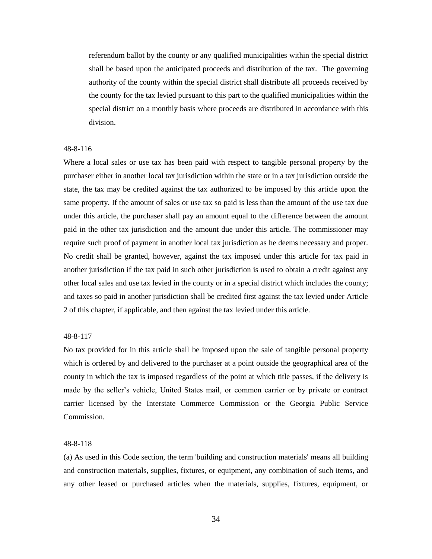referendum ballot by the county or any qualified municipalities within the special district shall be based upon the anticipated proceeds and distribution of the tax. The governing authority of the county within the special district shall distribute all proceeds received by the county for the tax levied pursuant to this part to the qualified municipalities within the special district on a monthly basis where proceeds are distributed in accordance with this division.

#### 48-8-116

Where a local sales or use tax has been paid with respect to tangible personal property by the purchaser either in another local tax jurisdiction within the state or in a tax jurisdiction outside the state, the tax may be credited against the tax authorized to be imposed by this article upon the same property. If the amount of sales or use tax so paid is less than the amount of the use tax due under this article, the purchaser shall pay an amount equal to the difference between the amount paid in the other tax jurisdiction and the amount due under this article. The commissioner may require such proof of payment in another local tax jurisdiction as he deems necessary and proper. No credit shall be granted, however, against the tax imposed under this article for tax paid in another jurisdiction if the tax paid in such other jurisdiction is used to obtain a credit against any other local sales and use tax levied in the county or in a special district which includes the county; and taxes so paid in another jurisdiction shall be credited first against the tax levied under Article 2 of this chapter, if applicable, and then against the tax levied under this article.

#### 48-8-117

No tax provided for in this article shall be imposed upon the sale of tangible personal property which is ordered by and delivered to the purchaser at a point outside the geographical area of the county in which the tax is imposed regardless of the point at which title passes, if the delivery is made by the seller's vehicle, United States mail, or common carrier or by private or contract carrier licensed by the Interstate Commerce Commission or the Georgia Public Service Commission.

#### 48-8-118

(a) As used in this Code section, the term 'building and construction materials' means all building and construction materials, supplies, fixtures, or equipment, any combination of such items, and any other leased or purchased articles when the materials, supplies, fixtures, equipment, or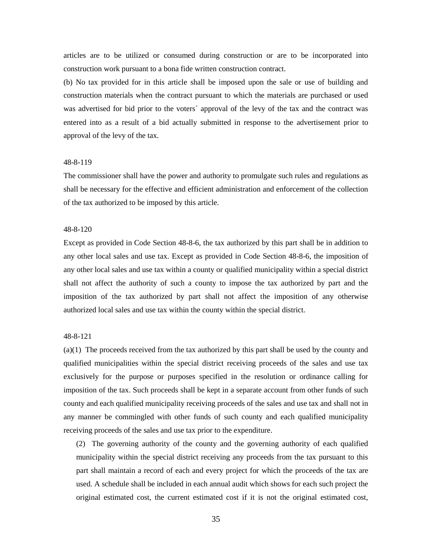articles are to be utilized or consumed during construction or are to be incorporated into construction work pursuant to a bona fide written construction contract.

(b) No tax provided for in this article shall be imposed upon the sale or use of building and construction materials when the contract pursuant to which the materials are purchased or used was advertised for bid prior to the voters´ approval of the levy of the tax and the contract was entered into as a result of a bid actually submitted in response to the advertisement prior to approval of the levy of the tax.

#### 48-8-119

The commissioner shall have the power and authority to promulgate such rules and regulations as shall be necessary for the effective and efficient administration and enforcement of the collection of the tax authorized to be imposed by this article.

#### 48-8-120

Except as provided in Code Section 48-8-6, the tax authorized by this part shall be in addition to any other local sales and use tax. Except as provided in Code Section 48-8-6, the imposition of any other local sales and use tax within a county or qualified municipality within a special district shall not affect the authority of such a county to impose the tax authorized by part and the imposition of the tax authorized by part shall not affect the imposition of any otherwise authorized local sales and use tax within the county within the special district.

#### 48-8-121

(a)(1) The proceeds received from the tax authorized by this part shall be used by the county and qualified municipalities within the special district receiving proceeds of the sales and use tax exclusively for the purpose or purposes specified in the resolution or ordinance calling for imposition of the tax. Such proceeds shall be kept in a separate account from other funds of such county and each qualified municipality receiving proceeds of the sales and use tax and shall not in any manner be commingled with other funds of such county and each qualified municipality receiving proceeds of the sales and use tax prior to the expenditure.

(2) The governing authority of the county and the governing authority of each qualified municipality within the special district receiving any proceeds from the tax pursuant to this part shall maintain a record of each and every project for which the proceeds of the tax are used. A schedule shall be included in each annual audit which shows for each such project the original estimated cost, the current estimated cost if it is not the original estimated cost,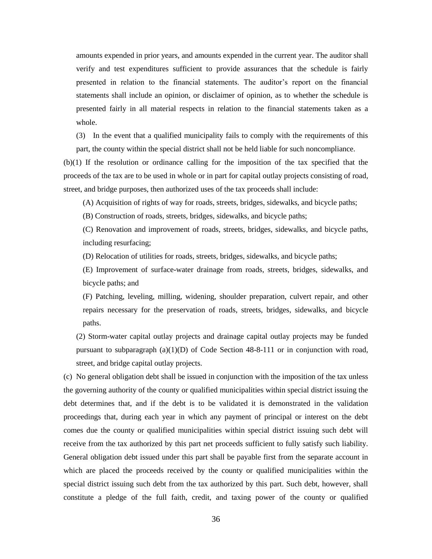amounts expended in prior years, and amounts expended in the current year. The auditor shall verify and test expenditures sufficient to provide assurances that the schedule is fairly presented in relation to the financial statements. The auditor's report on the financial statements shall include an opinion, or disclaimer of opinion, as to whether the schedule is presented fairly in all material respects in relation to the financial statements taken as a whole.

(3) In the event that a qualified municipality fails to comply with the requirements of this part, the county within the special district shall not be held liable for such noncompliance.

(b)(1) If the resolution or ordinance calling for the imposition of the tax specified that the proceeds of the tax are to be used in whole or in part for capital outlay projects consisting of road, street, and bridge purposes, then authorized uses of the tax proceeds shall include:

(A) Acquisition of rights of way for roads, streets, bridges, sidewalks, and bicycle paths;

(B) Construction of roads, streets, bridges, sidewalks, and bicycle paths;

(C) Renovation and improvement of roads, streets, bridges, sidewalks, and bicycle paths, including resurfacing;

(D) Relocation of utilities for roads, streets, bridges, sidewalks, and bicycle paths;

(E) Improvement of surface-water drainage from roads, streets, bridges, sidewalks, and bicycle paths; and

(F) Patching, leveling, milling, widening, shoulder preparation, culvert repair, and other repairs necessary for the preservation of roads, streets, bridges, sidewalks, and bicycle paths.

(2) Storm-water capital outlay projects and drainage capital outlay projects may be funded pursuant to subparagraph  $(a)(1)(D)$  of Code Section 48-8-111 or in conjunction with road, street, and bridge capital outlay projects.

(c) No general obligation debt shall be issued in conjunction with the imposition of the tax unless the governing authority of the county or qualified municipalities within special district issuing the debt determines that, and if the debt is to be validated it is demonstrated in the validation proceedings that, during each year in which any payment of principal or interest on the debt comes due the county or qualified municipalities within special district issuing such debt will receive from the tax authorized by this part net proceeds sufficient to fully satisfy such liability. General obligation debt issued under this part shall be payable first from the separate account in which are placed the proceeds received by the county or qualified municipalities within the special district issuing such debt from the tax authorized by this part. Such debt, however, shall constitute a pledge of the full faith, credit, and taxing power of the county or qualified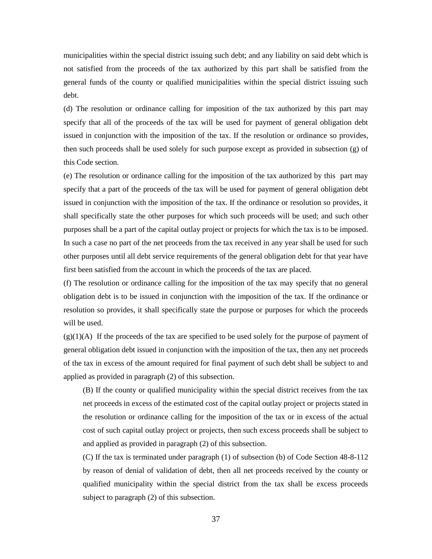municipalities within the special district issuing such debt; and any liability on said debt which is not satisfied from the proceeds of the tax authorized by this part shall be satisfied from the general funds of the county or qualified municipalities within the special district issuing such debt.

(d) The resolution or ordinance calling for imposition of the tax authorized by this part may specify that all of the proceeds of the tax will be used for payment of general obligation debt issued in conjunction with the imposition of the tax. If the resolution or ordinance so provides, then such proceeds shall be used solely for such purpose except as provided in subsection (g) of this Code section.

(e) The resolution or ordinance calling for the imposition of the tax authorized by this part may specify that a part of the proceeds of the tax will be used for payment of general obligation debt issued in conjunction with the imposition of the tax. If the ordinance or resolution so provides, it shall specifically state the other purposes for which such proceeds will be used; and such other purposes shall be a part of the capital outlay project or projects for which the tax is to be imposed. In such a case no part of the net proceeds from the tax received in any year shall be used for such other purposes until all debt service requirements of the general obligation debt for that year have first been satisfied from the account in which the proceeds of the tax are placed.

(f) The resolution or ordinance calling for the imposition of the tax may specify that no general obligation debt is to be issued in conjunction with the imposition of the tax. If the ordinance or resolution so provides, it shall specifically state the purpose or purposes for which the proceeds will be used.

 $(g)(1)(A)$  If the proceeds of the tax are specified to be used solely for the purpose of payment of general obligation debt issued in conjunction with the imposition of the tax, then any net proceeds of the tax in excess of the amount required for final payment of such debt shall be subject to and applied as provided in paragraph (2) of this subsection.

(B) If the county or qualified municipality within the special district receives from the tax net proceeds in excess of the estimated cost of the capital outlay project or projects stated in the resolution or ordinance calling for the imposition of the tax or in excess of the actual cost of such capital outlay project or projects, then such excess proceeds shall be subject to and applied as provided in paragraph (2) of this subsection.

(C) If the tax is terminated under paragraph (1) of subsection (b) of Code Section 48-8-112 by reason of denial of validation of debt, then all net proceeds received by the county or qualified municipality within the special district from the tax shall be excess proceeds subject to paragraph (2) of this subsection.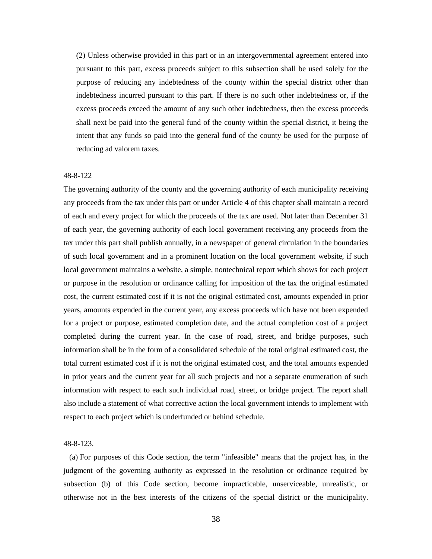(2) Unless otherwise provided in this part or in an intergovernmental agreement entered into pursuant to this part, excess proceeds subject to this subsection shall be used solely for the purpose of reducing any indebtedness of the county within the special district other than indebtedness incurred pursuant to this part. If there is no such other indebtedness or, if the excess proceeds exceed the amount of any such other indebtedness, then the excess proceeds shall next be paid into the general fund of the county within the special district, it being the intent that any funds so paid into the general fund of the county be used for the purpose of reducing ad valorem taxes.

#### 48-8-122

The governing authority of the county and the governing authority of each municipality receiving any proceeds from the tax under this part or under Article 4 of this chapter shall maintain a record of each and every project for which the proceeds of the tax are used. Not later than December 31 of each year, the governing authority of each local government receiving any proceeds from the tax under this part shall publish annually, in a newspaper of general circulation in the boundaries of such local government and in a prominent location on the local government website, if such local government maintains a website, a simple, nontechnical report which shows for each project or purpose in the resolution or ordinance calling for imposition of the tax the original estimated cost, the current estimated cost if it is not the original estimated cost, amounts expended in prior years, amounts expended in the current year, any excess proceeds which have not been expended for a project or purpose, estimated completion date, and the actual completion cost of a project completed during the current year. In the case of road, street, and bridge purposes, such information shall be in the form of a consolidated schedule of the total original estimated cost, the total current estimated cost if it is not the original estimated cost, and the total amounts expended in prior years and the current year for all such projects and not a separate enumeration of such information with respect to each such individual road, street, or bridge project. The report shall also include a statement of what corrective action the local government intends to implement with respect to each project which is underfunded or behind schedule.

#### 48-8-123.

 (a) For purposes of this Code section, the term "infeasible" means that the project has, in the judgment of the governing authority as expressed in the resolution or ordinance required by subsection (b) of this Code section, become impracticable, unserviceable, unrealistic, or otherwise not in the best interests of the citizens of the special district or the municipality.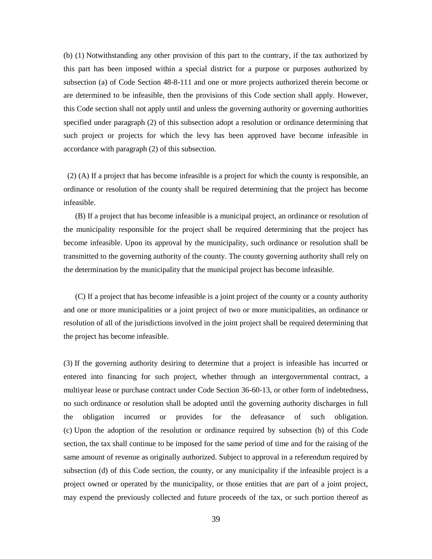(b) (1) Notwithstanding any other provision of this part to the contrary, if the tax authorized by this part has been imposed within a special district for a purpose or purposes authorized by subsection (a) of Code Section 48-8-111 and one or more projects authorized therein become or are determined to be infeasible, then the provisions of this Code section shall apply. However, this Code section shall not apply until and unless the governing authority or governing authorities specified under paragraph (2) of this subsection adopt a resolution or ordinance determining that such project or projects for which the levy has been approved have become infeasible in accordance with paragraph (2) of this subsection.

 (2) (A) If a project that has become infeasible is a project for which the county is responsible, an ordinance or resolution of the county shall be required determining that the project has become infeasible.

 (B) If a project that has become infeasible is a municipal project, an ordinance or resolution of the municipality responsible for the project shall be required determining that the project has become infeasible. Upon its approval by the municipality, such ordinance or resolution shall be transmitted to the governing authority of the county. The county governing authority shall rely on the determination by the municipality that the municipal project has become infeasible.

 (C) If a project that has become infeasible is a joint project of the county or a county authority and one or more municipalities or a joint project of two or more municipalities, an ordinance or resolution of all of the jurisdictions involved in the joint project shall be required determining that the project has become infeasible.

(3) If the governing authority desiring to determine that a project is infeasible has incurred or entered into financing for such project, whether through an intergovernmental contract, a multiyear lease or purchase contract under Code Section 36-60-13, or other form of indebtedness, no such ordinance or resolution shall be adopted until the governing authority discharges in full the obligation incurred or provides for the defeasance of such obligation. (c) Upon the adoption of the resolution or ordinance required by subsection (b) of this Code section, the tax shall continue to be imposed for the same period of time and for the raising of the same amount of revenue as originally authorized. Subject to approval in a referendum required by subsection (d) of this Code section, the county, or any municipality if the infeasible project is a project owned or operated by the municipality, or those entities that are part of a joint project, may expend the previously collected and future proceeds of the tax, or such portion thereof as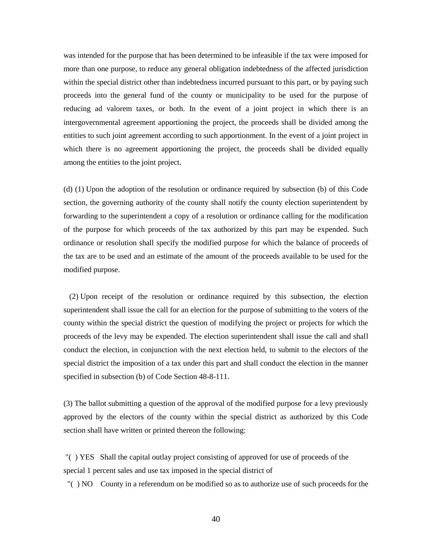was intended for the purpose that has been determined to be infeasible if the tax were imposed for more than one purpose, to reduce any general obligation indebtedness of the affected jurisdiction within the special district other than indebtedness incurred pursuant to this part, or by paying such proceeds into the general fund of the county or municipality to be used for the purpose of reducing ad valorem taxes, or both. In the event of a joint project in which there is an intergovernmental agreement apportioning the project, the proceeds shall be divided among the entities to such joint agreement according to such apportionment. In the event of a joint project in which there is no agreement apportioning the project, the proceeds shall be divided equally among the entities to the joint project.

(d) (1) Upon the adoption of the resolution or ordinance required by subsection (b) of this Code section, the governing authority of the county shall notify the county election superintendent by forwarding to the superintendent a copy of a resolution or ordinance calling for the modification of the purpose for which proceeds of the tax authorized by this part may be expended. Such ordinance or resolution shall specify the modified purpose for which the balance of proceeds of the tax are to be used and an estimate of the amount of the proceeds available to be used for the modified purpose.

 (2) Upon receipt of the resolution or ordinance required by this subsection, the election superintendent shall issue the call for an election for the purpose of submitting to the voters of the county within the special district the question of modifying the project or projects for which the proceeds of the levy may be expended. The election superintendent shall issue the call and shall conduct the election, in conjunction with the next election held, to submit to the electors of the special district the imposition of a tax under this part and shall conduct the election in the manner specified in subsection (b) of Code Section 48-8-111.

(3) The ballot submitting a question of the approval of the modified purpose for a levy previously approved by the electors of the county within the special district as authorized by this Code section shall have written or printed thereon the following:

"( ) YES Shall the capital outlay project consisting of approved for use of proceeds of the special 1 percent sales and use tax imposed in the special district of

"( ) NO County in a referendum on be modified so as to authorize use of such proceeds for the